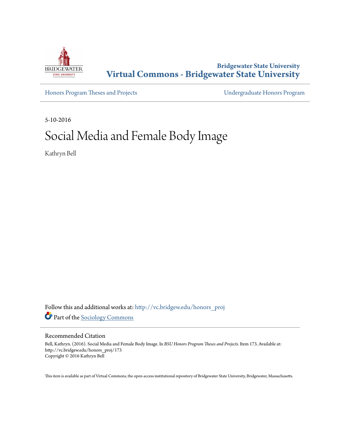

**Bridgewater State University [Virtual Commons - Bridgewater State University](http://vc.bridgew.edu?utm_source=vc.bridgew.edu%2Fhonors_proj%2F173&utm_medium=PDF&utm_campaign=PDFCoverPages)**

[Honors Program Theses and Projects](http://vc.bridgew.edu/honors_proj?utm_source=vc.bridgew.edu%2Fhonors_proj%2F173&utm_medium=PDF&utm_campaign=PDFCoverPages) [Undergraduate Honors Program](http://vc.bridgew.edu/honors?utm_source=vc.bridgew.edu%2Fhonors_proj%2F173&utm_medium=PDF&utm_campaign=PDFCoverPages)

5-10-2016

# Social Media and Female Body Image

Kathryn Bell

Follow this and additional works at: [http://vc.bridgew.edu/honors\\_proj](http://vc.bridgew.edu/honors_proj?utm_source=vc.bridgew.edu%2Fhonors_proj%2F173&utm_medium=PDF&utm_campaign=PDFCoverPages) Part of the [Sociology Commons](http://network.bepress.com/hgg/discipline/416?utm_source=vc.bridgew.edu%2Fhonors_proj%2F173&utm_medium=PDF&utm_campaign=PDFCoverPages)

### Recommended Citation

Bell, Kathryn. (2016). Social Media and Female Body Image. In *BSU Honors Program Theses and Projects.* Item 173. Available at: http://vc.bridgew.edu/honors\_proj/173 Copyright © 2016 Kathryn Bell

This item is available as part of Virtual Commons, the open-access institutional repository of Bridgewater State University, Bridgewater, Massachusetts.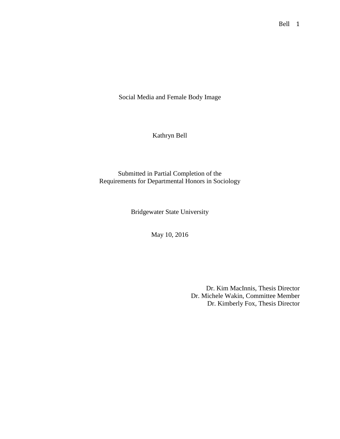Social Media and Female Body Image

Kathryn Bell

Submitted in Partial Completion of the Requirements for Departmental Honors in Sociology

Bridgewater State University

May 10, 2016

Dr. Kim MacInnis, Thesis Director Dr. Michele Wakin, Committee Member Dr. Kimberly Fox, Thesis Director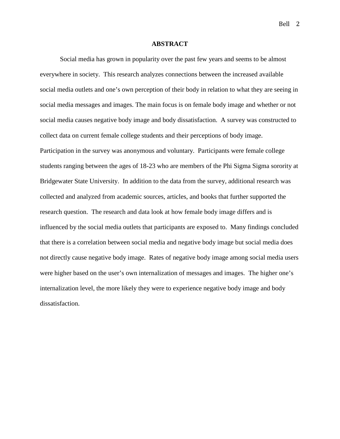Bell 2

### **ABSTRACT**

Social media has grown in popularity over the past few years and seems to be almost everywhere in society. This research analyzes connections between the increased available social media outlets and one's own perception of their body in relation to what they are seeing in social media messages and images. The main focus is on female body image and whether or not social media causes negative body image and body dissatisfaction. A survey was constructed to collect data on current female college students and their perceptions of body image. Participation in the survey was anonymous and voluntary. Participants were female college students ranging between the ages of 18-23 who are members of the Phi Sigma Sigma sorority at Bridgewater State University. In addition to the data from the survey, additional research was collected and analyzed from academic sources, articles, and books that further supported the research question. The research and data look at how female body image differs and is influenced by the social media outlets that participants are exposed to. Many findings concluded that there is a correlation between social media and negative body image but social media does not directly cause negative body image. Rates of negative body image among social media users were higher based on the user's own internalization of messages and images. The higher one's internalization level, the more likely they were to experience negative body image and body dissatisfaction.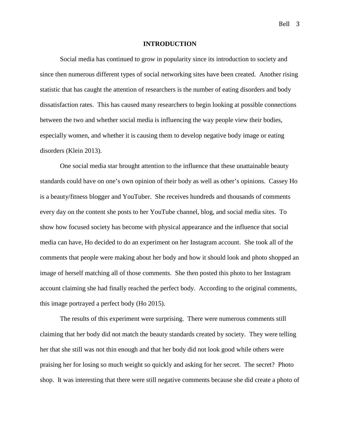#### **INTRODUCTION**

Social media has continued to grow in popularity since its introduction to society and since then numerous different types of social networking sites have been created. Another rising statistic that has caught the attention of researchers is the number of eating disorders and body dissatisfaction rates. This has caused many researchers to begin looking at possible connections between the two and whether social media is influencing the way people view their bodies, especially women, and whether it is causing them to develop negative body image or eating disorders (Klein 2013).

One social media star brought attention to the influence that these unattainable beauty standards could have on one's own opinion of their body as well as other's opinions. Cassey Ho is a beauty/fitness blogger and YouTuber. She receives hundreds and thousands of comments every day on the content she posts to her YouTube channel, blog, and social media sites. To show how focused society has become with physical appearance and the influence that social media can have, Ho decided to do an experiment on her Instagram account. She took all of the comments that people were making about her body and how it should look and photo shopped an image of herself matching all of those comments. She then posted this photo to her Instagram account claiming she had finally reached the perfect body. According to the original comments, this image portrayed a perfect body (Ho 2015).

The results of this experiment were surprising. There were numerous comments still claiming that her body did not match the beauty standards created by society. They were telling her that she still was not thin enough and that her body did not look good while others were praising her for losing so much weight so quickly and asking for her secret. The secret? Photo shop. It was interesting that there were still negative comments because she did create a photo of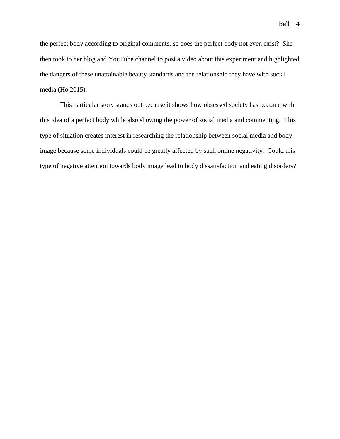the perfect body according to original comments, so does the perfect body not even exist? She then took to her blog and YouTube channel to post a video about this experiment and highlighted the dangers of these unattainable beauty standards and the relationship they have with social

# media (Ho 2015).

This particular story stands out because it shows how obsessed society has become with this idea of a perfect body while also showing the power of social media and commenting. This type of situation creates interest in researching the relationship between social media and body image because some individuals could be greatly affected by such online negativity. Could this type of negative attention towards body image lead to body dissatisfaction and eating disorders?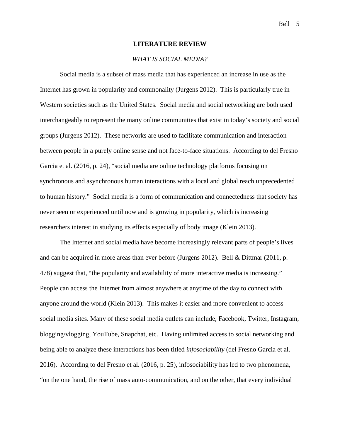### **LITERATURE REVIEW**

### *WHAT IS SOCIAL MEDIA?*

Social media is a subset of mass media that has experienced an increase in use as the Internet has grown in popularity and commonality (Jurgens 2012). This is particularly true in Western societies such as the United States. Social media and social networking are both used interchangeably to represent the many online communities that exist in today's society and social groups (Jurgens 2012). These networks are used to facilitate communication and interaction between people in a purely online sense and not face-to-face situations. According to del Fresno Garcia et al. (2016, p. 24), "social media are online technology platforms focusing on synchronous and asynchronous human interactions with a local and global reach unprecedented to human history." Social media is a form of communication and connectedness that society has never seen or experienced until now and is growing in popularity, which is increasing researchers interest in studying its effects especially of body image (Klein 2013).

The Internet and social media have become increasingly relevant parts of people's lives and can be acquired in more areas than ever before (Jurgens 2012). Bell & Dittmar (2011, p. 478) suggest that, "the popularity and availability of more interactive media is increasing." People can access the Internet from almost anywhere at anytime of the day to connect with anyone around the world (Klein 2013). This makes it easier and more convenient to access social media sites. Many of these social media outlets can include, Facebook, Twitter, Instagram, blogging/vlogging, YouTube, Snapchat, etc. Having unlimited access to social networking and being able to analyze these interactions has been titled *infosociability* (del Fresno Garcia et al. 2016). According to del Fresno et al. (2016, p. 25), infosociability has led to two phenomena, "on the one hand, the rise of mass auto-communication, and on the other, that every individual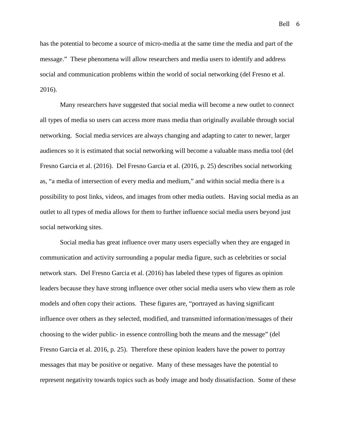Bell 6

has the potential to become a source of micro-media at the same time the media and part of the message." These phenomena will allow researchers and media users to identify and address social and communication problems within the world of social networking (del Fresno et al. 2016).

Many researchers have suggested that social media will become a new outlet to connect all types of media so users can access more mass media than originally available through social networking. Social media services are always changing and adapting to cater to newer, larger audiences so it is estimated that social networking will become a valuable mass media tool (del Fresno Garcia et al. (2016). Del Fresno Garcia et al. (2016, p. 25) describes social networking as, "a media of intersection of every media and medium," and within social media there is a possibility to post links, videos, and images from other media outlets. Having social media as an outlet to all types of media allows for them to further influence social media users beyond just social networking sites.

Social media has great influence over many users especially when they are engaged in communication and activity surrounding a popular media figure, such as celebrities or social network stars. Del Fresno Garcia et al. (2016) has labeled these types of figures as opinion leaders because they have strong influence over other social media users who view them as role models and often copy their actions. These figures are, "portrayed as having significant influence over others as they selected, modified, and transmitted information/messages of their choosing to the wider public- in essence controlling both the means and the message" (del Fresno Garcia et al. 2016, p. 25). Therefore these opinion leaders have the power to portray messages that may be positive or negative. Many of these messages have the potential to represent negativity towards topics such as body image and body dissatisfaction. Some of these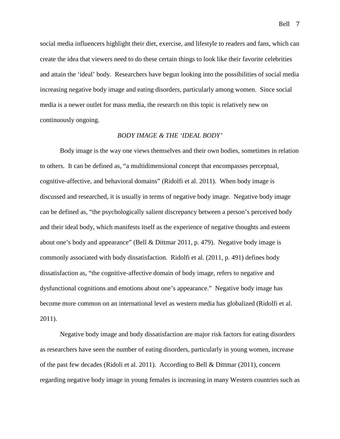social media influencers highlight their diet, exercise, and lifestyle to readers and fans, which can create the idea that viewers need to do these certain things to look like their favorite celebrities and attain the 'ideal' body. Researchers have begun looking into the possibilities of social media increasing negative body image and eating disorders, particularly among women. Since social media is a newer outlet for mass media, the research on this topic is relatively new on continuously ongoing.

### *BODY IMAGE & THE 'IDEAL BODY'*

Body image is the way one views themselves and their own bodies, sometimes in relation to others. It can be defined as, "a multidimensional concept that encompasses perceptual, cognitive-affective, and behavioral domains" (Ridolfi et al. 2011). When body image is discussed and researched, it is usually in terms of negative body image. Negative body image can be defined as, "the psychologically salient discrepancy between a person's perceived body and their ideal body, which manifests itself as the experience of negative thoughts and esteem about one's body and appearance" (Bell & Dittmar 2011, p. 479). Negative body image is commonly associated with body dissatisfaction. Ridolfi et al. (2011, p. 491) defines body dissatisfaction as, "the cognitive-affective domain of body image, refers to negative and dysfunctional cognitions and emotions about one's appearance." Negative body image has become more common on an international level as western media has globalized (Ridolfi et al. 2011).

Negative body image and body dissatisfaction are major risk factors for eating disorders as researchers have seen the number of eating disorders, particularly in young women, increase of the past few decades (Ridoli et al. 2011). According to Bell & Dittmar (2011), concern regarding negative body image in young females is increasing in many Western countries such as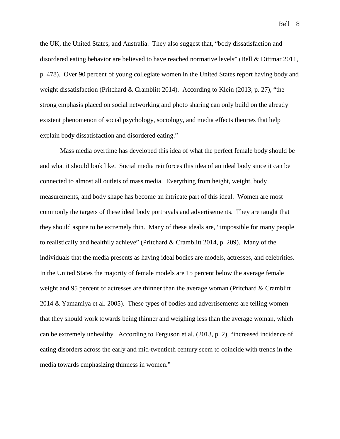Bell 8

the UK, the United States, and Australia. They also suggest that, "body dissatisfaction and disordered eating behavior are believed to have reached normative levels" (Bell & Dittmar 2011, p. 478). Over 90 percent of young collegiate women in the United States report having body and weight dissatisfaction (Pritchard & Cramblitt 2014). According to Klein (2013, p. 27), "the strong emphasis placed on social networking and photo sharing can only build on the already existent phenomenon of social psychology, sociology, and media effects theories that help explain body dissatisfaction and disordered eating."

Mass media overtime has developed this idea of what the perfect female body should be and what it should look like. Social media reinforces this idea of an ideal body since it can be connected to almost all outlets of mass media. Everything from height, weight, body measurements, and body shape has become an intricate part of this ideal. Women are most commonly the targets of these ideal body portrayals and advertisements. They are taught that they should aspire to be extremely thin. Many of these ideals are, "impossible for many people to realistically and healthily achieve" (Pritchard & Cramblitt 2014, p. 209). Many of the individuals that the media presents as having ideal bodies are models, actresses, and celebrities. In the United States the majority of female models are 15 percent below the average female weight and 95 percent of actresses are thinner than the average woman (Pritchard & Cramblitt 2014 & Yamamiya et al. 2005). These types of bodies and advertisements are telling women that they should work towards being thinner and weighing less than the average woman, which can be extremely unhealthy. According to Ferguson et al. (2013, p. 2), "increased incidence of eating disorders across the early and mid-twentieth century seem to coincide with trends in the media towards emphasizing thinness in women."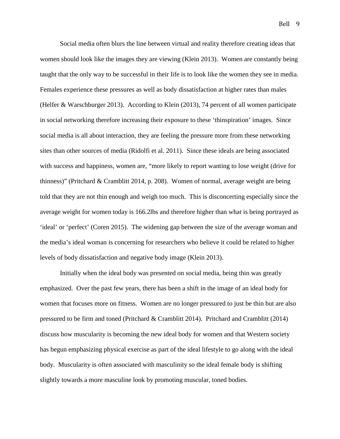Bell 9

Social media often blurs the line between virtual and reality therefore creating ideas that women should look like the images they are viewing (Klein 2013). Women are constantly being taught that the only way to be successful in their life is to look like the women they see in media. Females experience these pressures as well as body dissatisfaction at higher rates than males (Helfer & Warschburger 2013). According to Klein (2013), 74 percent of all women participate in social networking therefore increasing their exposure to these 'thinspiration' images. Since social media is all about interaction, they are feeling the pressure more from these networking sites than other sources of media (Ridolfi et al. 2011). Since these ideals are being associated with success and happiness, women are, "more likely to report wanting to lose weight (drive for thinness)" (Pritchard & Cramblitt 2014, p. 208). Women of normal, average weight are being told that they are not thin enough and weigh too much. This is disconcerting especially since the average weight for women today is 166.2lbs and therefore higher than what is being portrayed as 'ideal' or 'perfect' (Coren 2015). The widening gap between the size of the average woman and the media's ideal woman is concerning for researchers who believe it could be related to higher levels of body dissatisfaction and negative body image (Klein 2013).

Initially when the ideal body was presented on social media, being thin was greatly emphasized. Over the past few years, there has been a shift in the image of an ideal body for women that focuses more on fitness. Women are no longer pressured to just be thin but are also pressured to be firm and toned (Pritchard & Cramblitt 2014). Pritchard and Cramblitt (2014) discuss how muscularity is becoming the new ideal body for women and that Western society has begun emphasizing physical exercise as part of the ideal lifestyle to go along with the ideal body. Muscularity is often associated with masculinity so the ideal female body is shifting slightly towards a more masculine look by promoting muscular, toned bodies.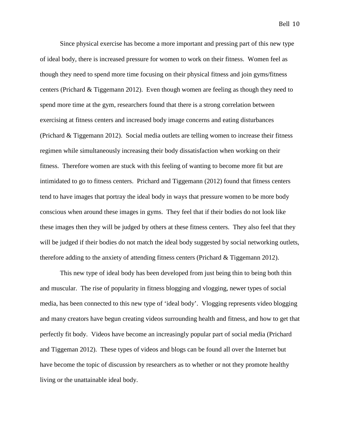Since physical exercise has become a more important and pressing part of this new type of ideal body, there is increased pressure for women to work on their fitness. Women feel as though they need to spend more time focusing on their physical fitness and join gyms/fitness centers (Prichard & Tiggemann 2012). Even though women are feeling as though they need to spend more time at the gym, researchers found that there is a strong correlation between exercising at fitness centers and increased body image concerns and eating disturbances (Prichard & Tiggemann 2012). Social media outlets are telling women to increase their fitness regimen while simultaneously increasing their body dissatisfaction when working on their fitness. Therefore women are stuck with this feeling of wanting to become more fit but are intimidated to go to fitness centers. Prichard and Tiggemann (2012) found that fitness centers tend to have images that portray the ideal body in ways that pressure women to be more body conscious when around these images in gyms. They feel that if their bodies do not look like these images then they will be judged by others at these fitness centers. They also feel that they will be judged if their bodies do not match the ideal body suggested by social networking outlets, therefore adding to the anxiety of attending fitness centers (Prichard  $\&$  Tiggemann 2012).

This new type of ideal body has been developed from just being thin to being both thin and muscular. The rise of popularity in fitness blogging and vlogging, newer types of social media, has been connected to this new type of 'ideal body'. Vlogging represents video blogging and many creators have begun creating videos surrounding health and fitness, and how to get that perfectly fit body. Videos have become an increasingly popular part of social media (Prichard and Tiggeman 2012). These types of videos and blogs can be found all over the Internet but have become the topic of discussion by researchers as to whether or not they promote healthy living or the unattainable ideal body.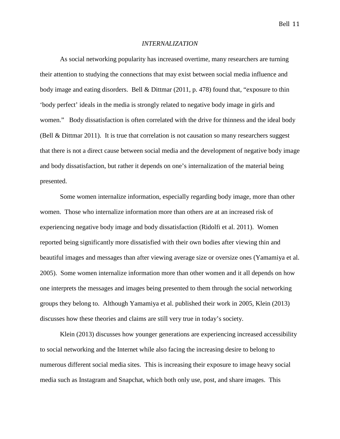#### *INTERNALIZATION*

As social networking popularity has increased overtime, many researchers are turning their attention to studying the connections that may exist between social media influence and body image and eating disorders. Bell & Dittmar (2011, p. 478) found that, "exposure to thin 'body perfect' ideals in the media is strongly related to negative body image in girls and women." Body dissatisfaction is often correlated with the drive for thinness and the ideal body (Bell & Dittmar 2011). It is true that correlation is not causation so many researchers suggest that there is not a direct cause between social media and the development of negative body image and body dissatisfaction, but rather it depends on one's internalization of the material being presented.

Some women internalize information, especially regarding body image, more than other women. Those who internalize information more than others are at an increased risk of experiencing negative body image and body dissatisfaction (Ridolfi et al. 2011). Women reported being significantly more dissatisfied with their own bodies after viewing thin and beautiful images and messages than after viewing average size or oversize ones (Yamamiya et al. 2005). Some women internalize information more than other women and it all depends on how one interprets the messages and images being presented to them through the social networking groups they belong to. Although Yamamiya et al. published their work in 2005, Klein (2013) discusses how these theories and claims are still very true in today's society.

Klein (2013) discusses how younger generations are experiencing increased accessibility to social networking and the Internet while also facing the increasing desire to belong to numerous different social media sites. This is increasing their exposure to image heavy social media such as Instagram and Snapchat, which both only use, post, and share images. This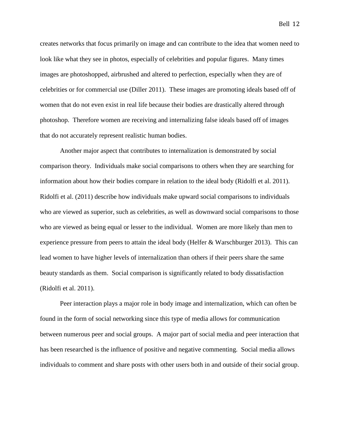creates networks that focus primarily on image and can contribute to the idea that women need to look like what they see in photos, especially of celebrities and popular figures. Many times images are photoshopped, airbrushed and altered to perfection, especially when they are of celebrities or for commercial use (Diller 2011). These images are promoting ideals based off of women that do not even exist in real life because their bodies are drastically altered through photoshop. Therefore women are receiving and internalizing false ideals based off of images that do not accurately represent realistic human bodies.

Another major aspect that contributes to internalization is demonstrated by social comparison theory. Individuals make social comparisons to others when they are searching for information about how their bodies compare in relation to the ideal body (Ridolfi et al. 2011). Ridolfi et al. (2011) describe how individuals make upward social comparisons to individuals who are viewed as superior, such as celebrities, as well as downward social comparisons to those who are viewed as being equal or lesser to the individual. Women are more likely than men to experience pressure from peers to attain the ideal body (Helfer & Warschburger 2013). This can lead women to have higher levels of internalization than others if their peers share the same beauty standards as them. Social comparison is significantly related to body dissatisfaction (Ridolfi et al. 2011).

Peer interaction plays a major role in body image and internalization, which can often be found in the form of social networking since this type of media allows for communication between numerous peer and social groups. A major part of social media and peer interaction that has been researched is the influence of positive and negative commenting. Social media allows individuals to comment and share posts with other users both in and outside of their social group.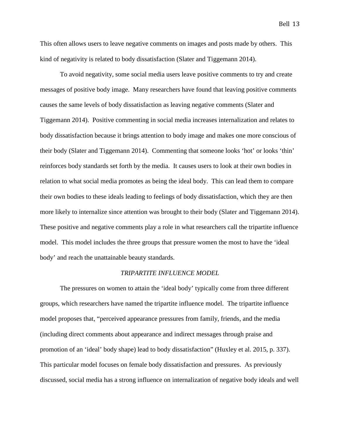This often allows users to leave negative comments on images and posts made by others. This kind of negativity is related to body dissatisfaction (Slater and Tiggemann 2014).

To avoid negativity, some social media users leave positive comments to try and create messages of positive body image. Many researchers have found that leaving positive comments causes the same levels of body dissatisfaction as leaving negative comments (Slater and Tiggemann 2014). Positive commenting in social media increases internalization and relates to body dissatisfaction because it brings attention to body image and makes one more conscious of their body (Slater and Tiggemann 2014). Commenting that someone looks 'hot' or looks 'thin' reinforces body standards set forth by the media. It causes users to look at their own bodies in relation to what social media promotes as being the ideal body. This can lead them to compare their own bodies to these ideals leading to feelings of body dissatisfaction, which they are then more likely to internalize since attention was brought to their body (Slater and Tiggemann 2014). These positive and negative comments play a role in what researchers call the tripartite influence model. This model includes the three groups that pressure women the most to have the 'ideal body' and reach the unattainable beauty standards.

### *TRIPARTITE INFLUENCE MODEL*

The pressures on women to attain the 'ideal body' typically come from three different groups, which researchers have named the tripartite influence model. The tripartite influence model proposes that, "perceived appearance pressures from family, friends, and the media (including direct comments about appearance and indirect messages through praise and promotion of an 'ideal' body shape) lead to body dissatisfaction" (Huxley et al. 2015, p. 337). This particular model focuses on female body dissatisfaction and pressures. As previously discussed, social media has a strong influence on internalization of negative body ideals and well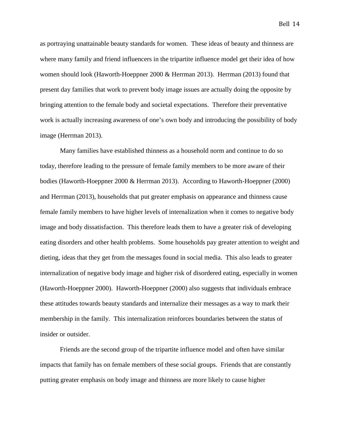as portraying unattainable beauty standards for women. These ideas of beauty and thinness are

where many family and friend influencers in the tripartite influence model get their idea of how women should look (Haworth-Hoeppner 2000 & Herrman 2013). Herrman (2013) found that present day families that work to prevent body image issues are actually doing the opposite by bringing attention to the female body and societal expectations. Therefore their preventative work is actually increasing awareness of one's own body and introducing the possibility of body image (Herrman 2013).

Many families have established thinness as a household norm and continue to do so today, therefore leading to the pressure of female family members to be more aware of their bodies (Haworth-Hoeppner 2000 & Herrman 2013). According to Haworth-Hoeppner (2000) and Herrman (2013), households that put greater emphasis on appearance and thinness cause female family members to have higher levels of internalization when it comes to negative body image and body dissatisfaction. This therefore leads them to have a greater risk of developing eating disorders and other health problems. Some households pay greater attention to weight and dieting, ideas that they get from the messages found in social media. This also leads to greater internalization of negative body image and higher risk of disordered eating, especially in women (Haworth-Hoeppner 2000). Haworth-Hoeppner (2000) also suggests that individuals embrace these attitudes towards beauty standards and internalize their messages as a way to mark their membership in the family. This internalization reinforces boundaries between the status of insider or outsider.

Friends are the second group of the tripartite influence model and often have similar impacts that family has on female members of these social groups. Friends that are constantly putting greater emphasis on body image and thinness are more likely to cause higher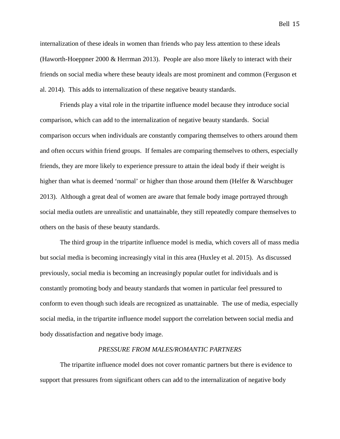internalization of these ideals in women than friends who pay less attention to these ideals (Haworth-Hoeppner 2000 & Herrman 2013). People are also more likely to interact with their friends on social media where these beauty ideals are most prominent and common (Ferguson et al. 2014). This adds to internalization of these negative beauty standards.

Friends play a vital role in the tripartite influence model because they introduce social comparison, which can add to the internalization of negative beauty standards. Social comparison occurs when individuals are constantly comparing themselves to others around them and often occurs within friend groups. If females are comparing themselves to others, especially friends, they are more likely to experience pressure to attain the ideal body if their weight is higher than what is deemed 'normal' or higher than those around them (Helfer & Warschbuger 2013). Although a great deal of women are aware that female body image portrayed through social media outlets are unrealistic and unattainable, they still repeatedly compare themselves to others on the basis of these beauty standards.

The third group in the tripartite influence model is media, which covers all of mass media but social media is becoming increasingly vital in this area (Huxley et al. 2015). As discussed previously, social media is becoming an increasingly popular outlet for individuals and is constantly promoting body and beauty standards that women in particular feel pressured to conform to even though such ideals are recognized as unattainable. The use of media, especially social media, in the tripartite influence model support the correlation between social media and body dissatisfaction and negative body image.

### *PRESSURE FROM MALES/ROMANTIC PARTNERS*

The tripartite influence model does not cover romantic partners but there is evidence to support that pressures from significant others can add to the internalization of negative body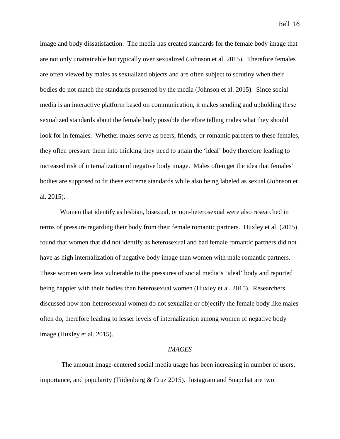image and body dissatisfaction. The media has created standards for the female body image that are not only unattainable but typically over sexualized (Johnson et al. 2015). Therefore females are often viewed by males as sexualized objects and are often subject to scrutiny when their bodies do not match the standards presented by the media (Johnson et al. 2015). Since social media is an interactive platform based on communication, it makes sending and upholding these sexualized standards about the female body possible therefore telling males what they should look for in females. Whether males serve as peers, friends, or romantic partners to these females, they often pressure them into thinking they need to attain the 'ideal' body therefore leading to increased risk of internalization of negative body image. Males often get the idea that females' bodies are supposed to fit these extreme standards while also being labeled as sexual (Johnson et al. 2015).

Women that identify as lesbian, bisexual, or non-heterosexual were also researched in terms of pressure regarding their body from their female romantic partners. Huxley et al. (2015) found that women that did not identify as heterosexual and had female romantic partners did not have as high internalization of negative body image than women with male romantic partners. These women were less vulnerable to the pressures of social media's 'ideal' body and reported being happier with their bodies than heterosexual women (Huxley et al. 2015). Researchers discussed how non-heterosexual women do not sexualize or objectify the female body like males often do, therefore leading to lesser levels of internalization among women of negative body image (Huxley et al. 2015).

### *IMAGES*

The amount image-centered social media usage has been increasing in number of users, importance, and popularity (Tiidenberg & Cruz 2015). Instagram and Snapchat are two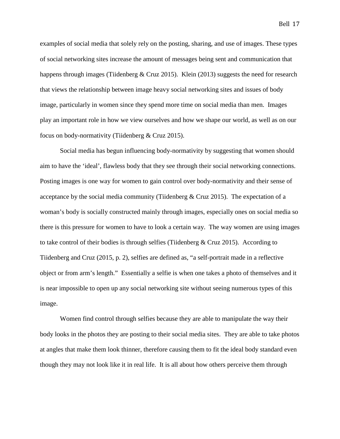examples of social media that solely rely on the posting, sharing, and use of images. These types of social networking sites increase the amount of messages being sent and communication that happens through images (Tiidenberg & Cruz 2015). Klein (2013) suggests the need for research that views the relationship between image heavy social networking sites and issues of body image, particularly in women since they spend more time on social media than men. Images play an important role in how we view ourselves and how we shape our world, as well as on our focus on body-normativity (Tiidenberg & Cruz 2015).

Social media has begun influencing body-normativity by suggesting that women should aim to have the 'ideal', flawless body that they see through their social networking connections. Posting images is one way for women to gain control over body-normativity and their sense of acceptance by the social media community (Tiidenberg  $& Cruz 2015$ ). The expectation of a woman's body is socially constructed mainly through images, especially ones on social media so there is this pressure for women to have to look a certain way. The way women are using images to take control of their bodies is through selfies (Tiidenberg & Cruz 2015). According to Tiidenberg and Cruz (2015, p. 2), selfies are defined as, "a self-portrait made in a reflective object or from arm's length." Essentially a selfie is when one takes a photo of themselves and it is near impossible to open up any social networking site without seeing numerous types of this image.

Women find control through selfies because they are able to manipulate the way their body looks in the photos they are posting to their social media sites. They are able to take photos at angles that make them look thinner, therefore causing them to fit the ideal body standard even though they may not look like it in real life. It is all about how others perceive them through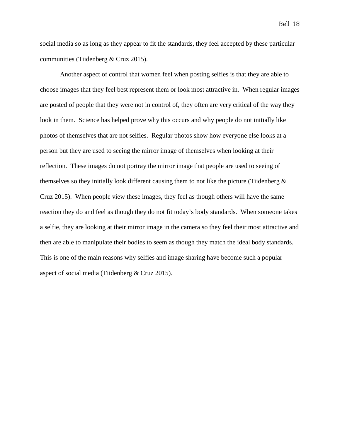social media so as long as they appear to fit the standards, they feel accepted by these particular communities (Tiidenberg & Cruz 2015).

Another aspect of control that women feel when posting selfies is that they are able to choose images that they feel best represent them or look most attractive in. When regular images are posted of people that they were not in control of, they often are very critical of the way they look in them. Science has helped prove why this occurs and why people do not initially like photos of themselves that are not selfies. Regular photos show how everyone else looks at a person but they are used to seeing the mirror image of themselves when looking at their reflection. These images do not portray the mirror image that people are used to seeing of themselves so they initially look different causing them to not like the picture (Tiidenberg  $\&$ Cruz 2015). When people view these images, they feel as though others will have the same reaction they do and feel as though they do not fit today's body standards. When someone takes a selfie, they are looking at their mirror image in the camera so they feel their most attractive and then are able to manipulate their bodies to seem as though they match the ideal body standards. This is one of the main reasons why selfies and image sharing have become such a popular aspect of social media (Tiidenberg & Cruz 2015).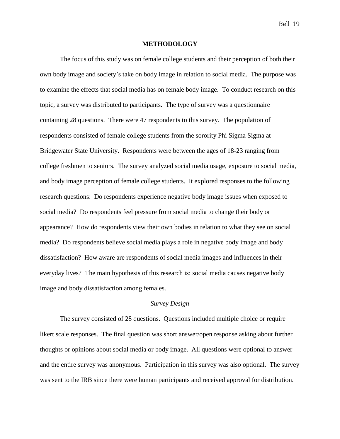### **METHODOLOGY**

The focus of this study was on female college students and their perception of both their own body image and society's take on body image in relation to social media. The purpose was to examine the effects that social media has on female body image. To conduct research on this topic, a survey was distributed to participants. The type of survey was a questionnaire containing 28 questions. There were 47 respondents to this survey. The population of respondents consisted of female college students from the sorority Phi Sigma Sigma at Bridgewater State University. Respondents were between the ages of 18-23 ranging from college freshmen to seniors. The survey analyzed social media usage, exposure to social media, and body image perception of female college students. It explored responses to the following research questions: Do respondents experience negative body image issues when exposed to social media? Do respondents feel pressure from social media to change their body or appearance? How do respondents view their own bodies in relation to what they see on social media? Do respondents believe social media plays a role in negative body image and body dissatisfaction? How aware are respondents of social media images and influences in their everyday lives? The main hypothesis of this research is: social media causes negative body image and body dissatisfaction among females.

### *Survey Design*

The survey consisted of 28 questions. Questions included multiple choice or require likert scale responses. The final question was short answer/open response asking about further thoughts or opinions about social media or body image. All questions were optional to answer and the entire survey was anonymous. Participation in this survey was also optional. The survey was sent to the IRB since there were human participants and received approval for distribution.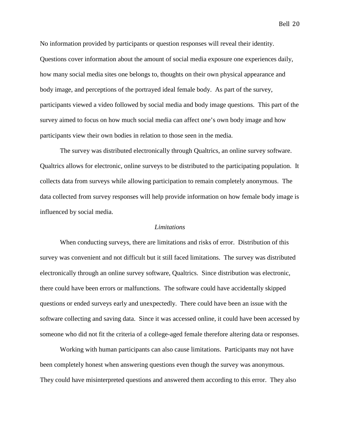No information provided by participants or question responses will reveal their identity. Questions cover information about the amount of social media exposure one experiences daily, how many social media sites one belongs to, thoughts on their own physical appearance and body image, and perceptions of the portrayed ideal female body. As part of the survey, participants viewed a video followed by social media and body image questions. This part of the survey aimed to focus on how much social media can affect one's own body image and how participants view their own bodies in relation to those seen in the media.

The survey was distributed electronically through Qualtrics, an online survey software. Qualtrics allows for electronic, online surveys to be distributed to the participating population. It collects data from surveys while allowing participation to remain completely anonymous. The data collected from survey responses will help provide information on how female body image is influenced by social media.

### *Limitations*

When conducting surveys, there are limitations and risks of error. Distribution of this survey was convenient and not difficult but it still faced limitations. The survey was distributed electronically through an online survey software, Qualtrics. Since distribution was electronic, there could have been errors or malfunctions. The software could have accidentally skipped questions or ended surveys early and unexpectedly. There could have been an issue with the software collecting and saving data. Since it was accessed online, it could have been accessed by someone who did not fit the criteria of a college-aged female therefore altering data or responses.

Working with human participants can also cause limitations. Participants may not have been completely honest when answering questions even though the survey was anonymous. They could have misinterpreted questions and answered them according to this error. They also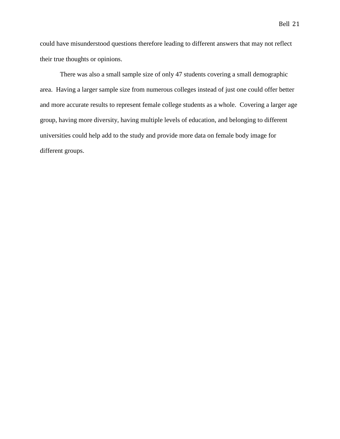could have misunderstood questions therefore leading to different answers that may not reflect their true thoughts or opinions.

There was also a small sample size of only 47 students covering a small demographic area. Having a larger sample size from numerous colleges instead of just one could offer better and more accurate results to represent female college students as a whole. Covering a larger age group, having more diversity, having multiple levels of education, and belonging to different universities could help add to the study and provide more data on female body image for different groups.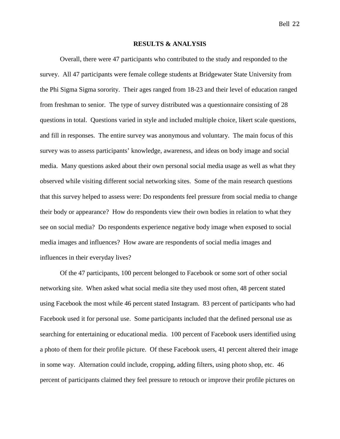### **RESULTS & ANALYSIS**

Overall, there were 47 participants who contributed to the study and responded to the survey. All 47 participants were female college students at Bridgewater State University from the Phi Sigma Sigma sorority. Their ages ranged from 18-23 and their level of education ranged from freshman to senior. The type of survey distributed was a questionnaire consisting of 28 questions in total. Questions varied in style and included multiple choice, likert scale questions, and fill in responses. The entire survey was anonymous and voluntary. The main focus of this survey was to assess participants' knowledge, awareness, and ideas on body image and social media. Many questions asked about their own personal social media usage as well as what they observed while visiting different social networking sites. Some of the main research questions that this survey helped to assess were: Do respondents feel pressure from social media to change their body or appearance? How do respondents view their own bodies in relation to what they see on social media? Do respondents experience negative body image when exposed to social media images and influences? How aware are respondents of social media images and influences in their everyday lives?

Of the 47 participants, 100 percent belonged to Facebook or some sort of other social networking site. When asked what social media site they used most often, 48 percent stated using Facebook the most while 46 percent stated Instagram. 83 percent of participants who had Facebook used it for personal use. Some participants included that the defined personal use as searching for entertaining or educational media. 100 percent of Facebook users identified using a photo of them for their profile picture. Of these Facebook users, 41 percent altered their image in some way. Alternation could include, cropping, adding filters, using photo shop, etc. 46 percent of participants claimed they feel pressure to retouch or improve their profile pictures on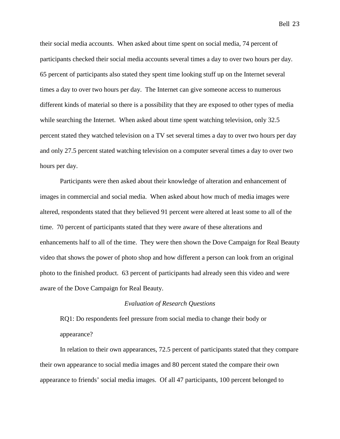their social media accounts. When asked about time spent on social media, 74 percent of participants checked their social media accounts several times a day to over two hours per day. 65 percent of participants also stated they spent time looking stuff up on the Internet several times a day to over two hours per day. The Internet can give someone access to numerous different kinds of material so there is a possibility that they are exposed to other types of media while searching the Internet. When asked about time spent watching television, only 32.5 percent stated they watched television on a TV set several times a day to over two hours per day and only 27.5 percent stated watching television on a computer several times a day to over two hours per day.

Participants were then asked about their knowledge of alteration and enhancement of images in commercial and social media. When asked about how much of media images were altered, respondents stated that they believed 91 percent were altered at least some to all of the time. 70 percent of participants stated that they were aware of these alterations and enhancements half to all of the time. They were then shown the Dove Campaign for Real Beauty video that shows the power of photo shop and how different a person can look from an original photo to the finished product. 63 percent of participants had already seen this video and were aware of the Dove Campaign for Real Beauty.

### *Evaluation of Research Questions*

RQ1: Do respondents feel pressure from social media to change their body or appearance?

In relation to their own appearances, 72.5 percent of participants stated that they compare their own appearance to social media images and 80 percent stated the compare their own appearance to friends' social media images. Of all 47 participants, 100 percent belonged to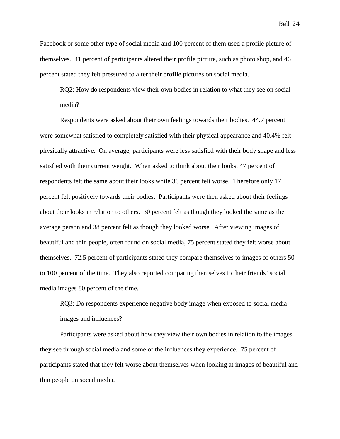Facebook or some other type of social media and 100 percent of them used a profile picture of themselves. 41 percent of participants altered their profile picture, such as photo shop, and 46 percent stated they felt pressured to alter their profile pictures on social media.

RQ2: How do respondents view their own bodies in relation to what they see on social media?

Respondents were asked about their own feelings towards their bodies. 44.7 percent were somewhat satisfied to completely satisfied with their physical appearance and 40.4% felt physically attractive. On average, participants were less satisfied with their body shape and less satisfied with their current weight. When asked to think about their looks, 47 percent of respondents felt the same about their looks while 36 percent felt worse. Therefore only 17 percent felt positively towards their bodies. Participants were then asked about their feelings about their looks in relation to others. 30 percent felt as though they looked the same as the average person and 38 percent felt as though they looked worse. After viewing images of beautiful and thin people, often found on social media, 75 percent stated they felt worse about themselves. 72.5 percent of participants stated they compare themselves to images of others 50 to 100 percent of the time. They also reported comparing themselves to their friends' social media images 80 percent of the time.

RQ3: Do respondents experience negative body image when exposed to social media images and influences?

Participants were asked about how they view their own bodies in relation to the images they see through social media and some of the influences they experience. 75 percent of participants stated that they felt worse about themselves when looking at images of beautiful and thin people on social media.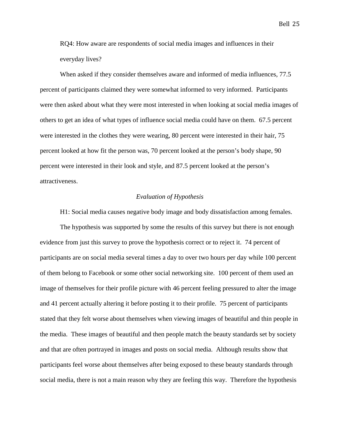RQ4: How aware are respondents of social media images and influences in their everyday lives?

When asked if they consider themselves aware and informed of media influences, 77.5 percent of participants claimed they were somewhat informed to very informed. Participants were then asked about what they were most interested in when looking at social media images of others to get an idea of what types of influence social media could have on them. 67.5 percent were interested in the clothes they were wearing, 80 percent were interested in their hair, 75 percent looked at how fit the person was, 70 percent looked at the person's body shape, 90 percent were interested in their look and style, and 87.5 percent looked at the person's attractiveness.

### *Evaluation of Hypothesis*

H1: Social media causes negative body image and body dissatisfaction among females.

The hypothesis was supported by some the results of this survey but there is not enough evidence from just this survey to prove the hypothesis correct or to reject it. 74 percent of participants are on social media several times a day to over two hours per day while 100 percent of them belong to Facebook or some other social networking site. 100 percent of them used an image of themselves for their profile picture with 46 percent feeling pressured to alter the image and 41 percent actually altering it before posting it to their profile. 75 percent of participants stated that they felt worse about themselves when viewing images of beautiful and thin people in the media. These images of beautiful and then people match the beauty standards set by society and that are often portrayed in images and posts on social media. Although results show that participants feel worse about themselves after being exposed to these beauty standards through social media, there is not a main reason why they are feeling this way. Therefore the hypothesis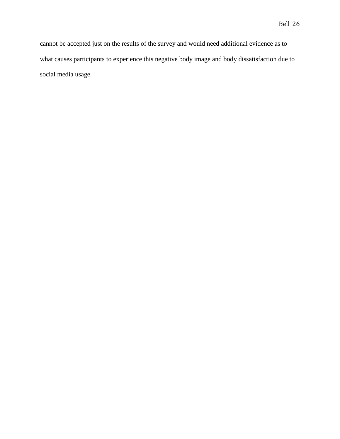cannot be accepted just on the results of the survey and would need additional evidence as to what causes participants to experience this negative body image and body dissatisfaction due to social media usage.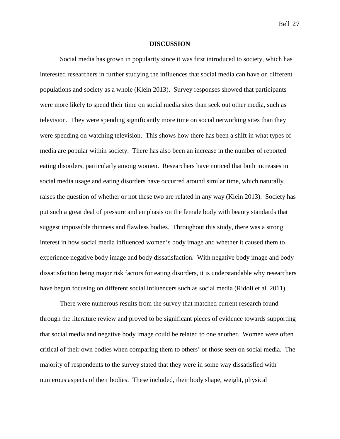### **DISCUSSION**

Social media has grown in popularity since it was first introduced to society, which has interested researchers in further studying the influences that social media can have on different populations and society as a whole (Klein 2013). Survey responses showed that participants were more likely to spend their time on social media sites than seek out other media, such as television. They were spending significantly more time on social networking sites than they were spending on watching television. This shows how there has been a shift in what types of media are popular within society. There has also been an increase in the number of reported eating disorders, particularly among women. Researchers have noticed that both increases in social media usage and eating disorders have occurred around similar time, which naturally raises the question of whether or not these two are related in any way (Klein 2013). Society has put such a great deal of pressure and emphasis on the female body with beauty standards that suggest impossible thinness and flawless bodies. Throughout this study, there was a strong interest in how social media influenced women's body image and whether it caused them to experience negative body image and body dissatisfaction. With negative body image and body dissatisfaction being major risk factors for eating disorders, it is understandable why researchers have begun focusing on different social influencers such as social media (Ridoli et al. 2011).

There were numerous results from the survey that matched current research found through the literature review and proved to be significant pieces of evidence towards supporting that social media and negative body image could be related to one another. Women were often critical of their own bodies when comparing them to others' or those seen on social media. The majority of respondents to the survey stated that they were in some way dissatisfied with numerous aspects of their bodies. These included, their body shape, weight, physical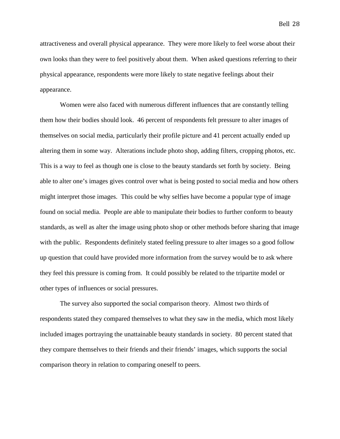Bell 28

attractiveness and overall physical appearance. They were more likely to feel worse about their own looks than they were to feel positively about them. When asked questions referring to their physical appearance, respondents were more likely to state negative feelings about their appearance.

Women were also faced with numerous different influences that are constantly telling them how their bodies should look. 46 percent of respondents felt pressure to alter images of themselves on social media, particularly their profile picture and 41 percent actually ended up altering them in some way. Alterations include photo shop, adding filters, cropping photos, etc. This is a way to feel as though one is close to the beauty standards set forth by society. Being able to alter one's images gives control over what is being posted to social media and how others might interpret those images. This could be why selfies have become a popular type of image found on social media. People are able to manipulate their bodies to further conform to beauty standards, as well as alter the image using photo shop or other methods before sharing that image with the public. Respondents definitely stated feeling pressure to alter images so a good follow up question that could have provided more information from the survey would be to ask where they feel this pressure is coming from. It could possibly be related to the tripartite model or other types of influences or social pressures.

The survey also supported the social comparison theory. Almost two thirds of respondents stated they compared themselves to what they saw in the media, which most likely included images portraying the unattainable beauty standards in society. 80 percent stated that they compare themselves to their friends and their friends' images, which supports the social comparison theory in relation to comparing oneself to peers.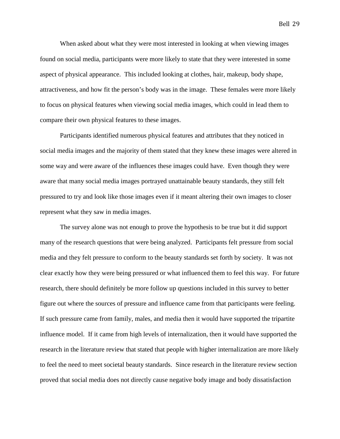When asked about what they were most interested in looking at when viewing images found on social media, participants were more likely to state that they were interested in some aspect of physical appearance. This included looking at clothes, hair, makeup, body shape, attractiveness, and how fit the person's body was in the image. These females were more likely to focus on physical features when viewing social media images, which could in lead them to compare their own physical features to these images.

Participants identified numerous physical features and attributes that they noticed in social media images and the majority of them stated that they knew these images were altered in some way and were aware of the influences these images could have. Even though they were aware that many social media images portrayed unattainable beauty standards, they still felt pressured to try and look like those images even if it meant altering their own images to closer represent what they saw in media images.

The survey alone was not enough to prove the hypothesis to be true but it did support many of the research questions that were being analyzed. Participants felt pressure from social media and they felt pressure to conform to the beauty standards set forth by society. It was not clear exactly how they were being pressured or what influenced them to feel this way. For future research, there should definitely be more follow up questions included in this survey to better figure out where the sources of pressure and influence came from that participants were feeling. If such pressure came from family, males, and media then it would have supported the tripartite influence model. If it came from high levels of internalization, then it would have supported the research in the literature review that stated that people with higher internalization are more likely to feel the need to meet societal beauty standards. Since research in the literature review section proved that social media does not directly cause negative body image and body dissatisfaction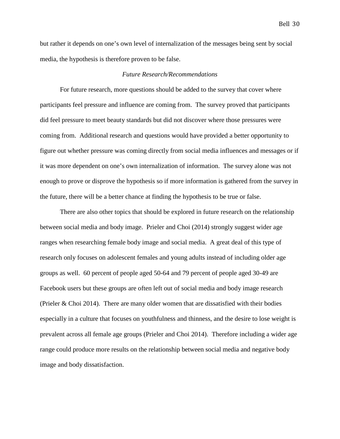but rather it depends on one's own level of internalization of the messages being sent by social

media, the hypothesis is therefore proven to be false.

### *Future Research/Recommendations*

For future research, more questions should be added to the survey that cover where participants feel pressure and influence are coming from. The survey proved that participants did feel pressure to meet beauty standards but did not discover where those pressures were coming from. Additional research and questions would have provided a better opportunity to figure out whether pressure was coming directly from social media influences and messages or if it was more dependent on one's own internalization of information. The survey alone was not enough to prove or disprove the hypothesis so if more information is gathered from the survey in the future, there will be a better chance at finding the hypothesis to be true or false.

There are also other topics that should be explored in future research on the relationship between social media and body image. Prieler and Choi (2014) strongly suggest wider age ranges when researching female body image and social media. A great deal of this type of research only focuses on adolescent females and young adults instead of including older age groups as well. 60 percent of people aged 50-64 and 79 percent of people aged 30-49 are Facebook users but these groups are often left out of social media and body image research (Prieler & Choi 2014). There are many older women that are dissatisfied with their bodies especially in a culture that focuses on youthfulness and thinness, and the desire to lose weight is prevalent across all female age groups (Prieler and Choi 2014). Therefore including a wider age range could produce more results on the relationship between social media and negative body image and body dissatisfaction.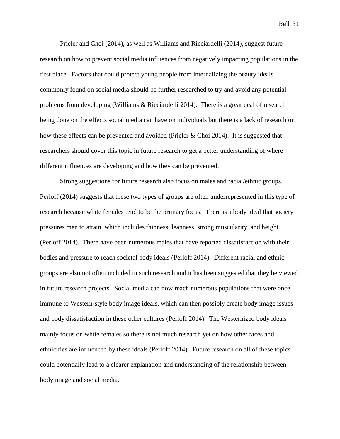Prieler and Choi (2014), as well as Williams and Ricciardelli (2014), suggest future research on how to prevent social media influences from negatively impacting populations in the first place. Factors that could protect young people from internalizing the beauty ideals commonly found on social media should be further researched to try and avoid any potential problems from developing (Williams & Ricciardelli 2014). There is a great deal of research being done on the effects social media can have on individuals but there is a lack of research on how these effects can be prevented and avoided (Prieler & Choi 2014). It is suggested that researchers should cover this topic in future research to get a better understanding of where different influences are developing and how they can be prevented.

Strong suggestions for future research also focus on males and racial/ethnic groups. Perloff (2014) suggests that these two types of groups are often underrepresented in this type of research because white females tend to be the primary focus. There is a body ideal that society pressures men to attain, which includes thinness, leanness, strong muscularity, and height (Perloff 2014). There have been numerous males that have reported dissatisfaction with their bodies and pressure to reach societal body ideals (Perloff 2014). Different racial and ethnic groups are also not often included in such research and it has been suggested that they be viewed in future research projects. Social media can now reach numerous populations that were once immune to Western-style body image ideals, which can then possibly create body image issues and body dissatisfaction in these other cultures (Perloff 2014). The Westernized body ideals mainly focus on white females so there is not much research yet on how other races and ethnicities are influenced by these ideals (Perloff 2014). Future research on all of these topics could potentially lead to a clearer explanation and understanding of the relationship between body image and social media.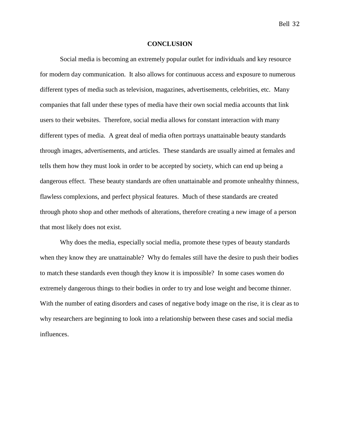### **CONCLUSION**

Social media is becoming an extremely popular outlet for individuals and key resource for modern day communication. It also allows for continuous access and exposure to numerous different types of media such as television, magazines, advertisements, celebrities, etc. Many companies that fall under these types of media have their own social media accounts that link users to their websites. Therefore, social media allows for constant interaction with many different types of media. A great deal of media often portrays unattainable beauty standards through images, advertisements, and articles. These standards are usually aimed at females and tells them how they must look in order to be accepted by society, which can end up being a dangerous effect. These beauty standards are often unattainable and promote unhealthy thinness, flawless complexions, and perfect physical features. Much of these standards are created through photo shop and other methods of alterations, therefore creating a new image of a person that most likely does not exist.

Why does the media, especially social media, promote these types of beauty standards when they know they are unattainable? Why do females still have the desire to push their bodies to match these standards even though they know it is impossible? In some cases women do extremely dangerous things to their bodies in order to try and lose weight and become thinner. With the number of eating disorders and cases of negative body image on the rise, it is clear as to why researchers are beginning to look into a relationship between these cases and social media influences.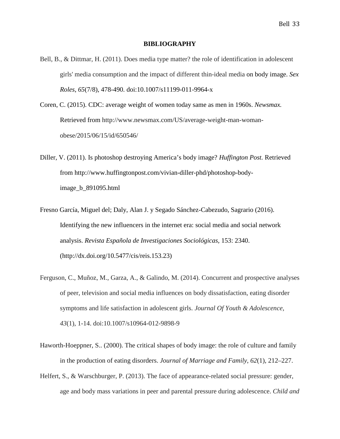### **BIBLIOGRAPHY**

- Bell, B., & Dittmar, H. (2011). Does media type matter? the role of identification in adolescent girls' media consumption and the impact of different thin-ideal media on body image. *Sex Roles*, *65*(7/8), 478-490. doi:10.1007/s11199-011-9964-x
- Coren, C. (2015). CDC: average weight of women today same as men in 1960s. *Newsmax.*  Retrieved from http://www.newsmax.com/US/average-weight-man-womanobese/2015/06/15/id/650546/
- Diller, V. (2011). Is photoshop destroying America's body image? *Huffington Post.* Retrieved from http://www.huffingtonpost.com/vivian-diller-phd/photoshop-bodyimage\_b\_891095.html
- Fresno García, Miguel del; Daly, Alan J. y Segado Sánchez-Cabezudo, Sagrario (2016). Identifying the new influencers in the internet era: social media and social network analysis. *Revista Española de Investigaciones Sociológicas,* 153: 2340. (http://dx.doi.org/10.5477/cis/reis.153.23)
- Ferguson, C., Muñoz, M., Garza, A., & Galindo, M. (2014). Concurrent and prospective analyses of peer, television and social media influences on body dissatisfaction, eating disorder symptoms and life satisfaction in adolescent girls. *Journal Of Youth & Adolescence*, *43*(1), 1-14. doi:10.1007/s10964-012-9898-9
- Haworth-Hoeppner, S.. (2000). The critical shapes of body image: the role of culture and family in the production of eating disorders. *Journal of Marriage and Family*, *62*(1), 212–227.
- Helfert, S., & Warschburger, P. (2013). The face of appearance-related social pressure: gender, age and body mass variations in peer and parental pressure during adolescence. *Child and*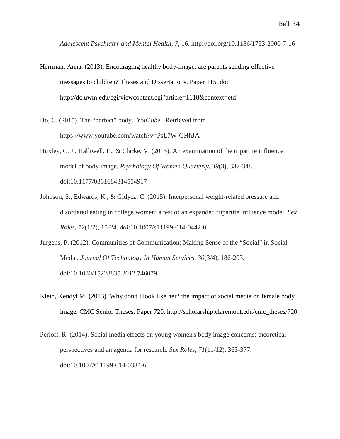*Adolescent Psychiatry and Mental Health*, *7*, 16. http://doi.org/10.1186/1753-2000-7-16

- Herrman, Anna. (2013). Encouraging healthy body-image: are parents sending effective messages to children? Theses and Dissertations. Paper 115. doi: http://dc.uwm.edu/cgi/viewcontent.cgi?article=1118&context=etd
- Ho, C. (2015). The "perfect" body. *YouTube*. Retrieved from https://www.youtube.com/watch?v=PsL7W-GHhJA
- Huxley, C. J., Halliwell, E., & Clarke, V. (2015). An examination of the tripartite influence model of body image. *Psychology Of Women Quarterly*, *39*(3), 337-348. doi:10.1177/0361684314554917
- Johnson, S., Edwards, K., & Gidycz, C. (2015). Interpersonal weight-related pressure and disordered eating in college women: a test of an expanded tripartite influence model. *Sex Roles*, *72*(1/2), 15-24. doi:10.1007/s11199-014-0442-0
- Jürgens, P. (2012). Communities of Communication: Making Sense of the "Social" in Social Media. *Journal Of Technology In Human Services*, *30*(3/4), 186-203. doi:10.1080/15228835.2012.746079
- Klein, Kendyl M. (2013). Why don't I look like her? the impact of social media on female body image. CMC Senior Theses. Paper 720. http://scholarship.claremont.edu/cmc\_theses/720
- Perloff, R. (2014). Social media effects on young women's body image concerns: theoretical perspectives and an agenda for research. *Sex Roles*, *71*(11/12), 363-377. doi:10.1007/s11199-014-0384-6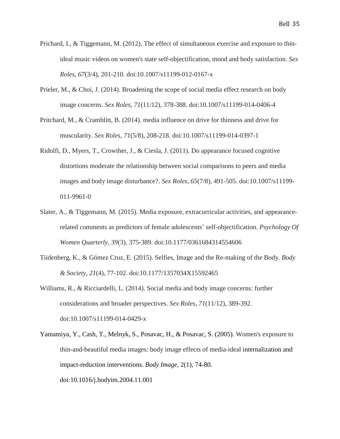- Prichard, I., & Tiggemann, M. (2012). The effect of simultaneous exercise and exposure to thinideal music videos on women's state self-objectification, mood and body satisfaction. *Sex Roles*, *67*(3/4), 201-210. doi:10.1007/s11199-012-0167-x
- Prieler, M., & Choi, J. (2014). Broadening the scope of social media effect research on body image concerns. *Sex Roles*, *71*(11/12), 378-388. doi:10.1007/s11199-014-0406-4
- Pritchard, M., & Cramblitt, B. (2014). media influence on drive for thinness and drive for muscularity. *Sex Roles*, *71*(5/8), 208-218. doi:10.1007/s11199-014-0397-1
- Ridolfi, D., Myers, T., Crowther, J., & Ciesla, J. (2011). Do appearance focused cognitive distortions moderate the relationship between social comparisons to peers and media images and body image disturbance?. *Sex Roles*, *65*(7/8), 491-505. doi:10.1007/s11199- 011-9961-0
- Slater, A., & Tiggemann, M. (2015). Media exposure, extracurricular activities, and appearancerelated comments as predictors of female adolescents' self-objectification. *Psychology Of Women Quarterly*, *39*(3), 375-389. doi:10.1177/0361684314554606
- Tiidenberg, K., & Gómez Cruz, E. (2015). Selfies, Image and the Re-making of the Body. *Body & Society*, *21*(4), 77-102. doi:10.1177/1357034X15592465
- Williams, R., & Ricciardelli, L. (2014). Social media and body image concerns: further considerations and broader perspectives. *Sex Roles*, *71*(11/12), 389-392. doi:10.1007/s11199-014-0429-x
- Yamamiya, Y., Cash, T., Melnyk, S., Posavac, H., & Posavac, S. (2005). Women's exposure to thin-and-beautiful media images: body image effects of media-ideal internalization and impact-reduction interventions. *Body Image,* 2(1), 74-80. doi:10.1016/j.bodyim.2004.11.001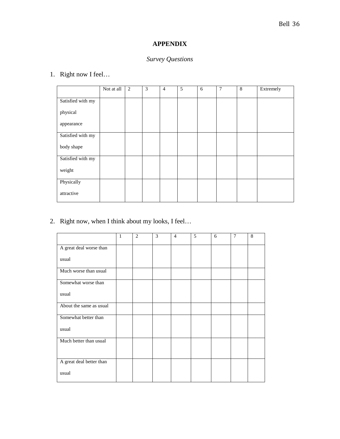### Bell 36

### **APPENDIX**

### *Survey Questions*

### 1. Right now I feel…

|                   | Not at all | 2 | 3 | $\overline{4}$ | 5 | 6 | 7 | $\,8\,$ | Extremely |
|-------------------|------------|---|---|----------------|---|---|---|---------|-----------|
| Satisfied with my |            |   |   |                |   |   |   |         |           |
| physical          |            |   |   |                |   |   |   |         |           |
| appearance        |            |   |   |                |   |   |   |         |           |
| Satisfied with my |            |   |   |                |   |   |   |         |           |
| body shape        |            |   |   |                |   |   |   |         |           |
| Satisfied with my |            |   |   |                |   |   |   |         |           |
| weight            |            |   |   |                |   |   |   |         |           |
| Physically        |            |   |   |                |   |   |   |         |           |
| attractive        |            |   |   |                |   |   |   |         |           |

### 2. Right now, when I think about my looks, I feel…

|                          | 1 | $\overline{2}$ | 3 | $\overline{4}$ | 5 | 6 | 7 | 8 |
|--------------------------|---|----------------|---|----------------|---|---|---|---|
| A great deal worse than  |   |                |   |                |   |   |   |   |
| usual                    |   |                |   |                |   |   |   |   |
| Much worse than usual    |   |                |   |                |   |   |   |   |
| Somewhat worse than      |   |                |   |                |   |   |   |   |
| usual                    |   |                |   |                |   |   |   |   |
| About the same as usual  |   |                |   |                |   |   |   |   |
| Somewhat better than     |   |                |   |                |   |   |   |   |
| usual                    |   |                |   |                |   |   |   |   |
| Much better than usual   |   |                |   |                |   |   |   |   |
|                          |   |                |   |                |   |   |   |   |
| A great deal better than |   |                |   |                |   |   |   |   |
| usual                    |   |                |   |                |   |   |   |   |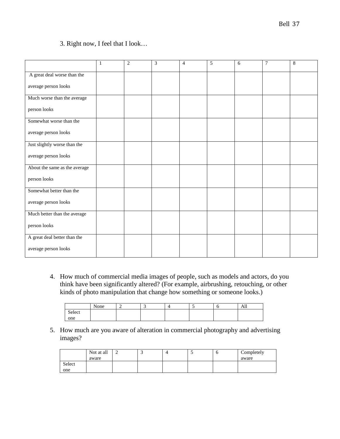### 3. Right now, I feel that I look…

|                               | $\mathbf{1}$ | $\overline{2}$ | 3 | $\overline{4}$ | 5 | 6 | 7 | $\,$ 8 $\,$ |
|-------------------------------|--------------|----------------|---|----------------|---|---|---|-------------|
| A great deal worse than the   |              |                |   |                |   |   |   |             |
| average person looks          |              |                |   |                |   |   |   |             |
| Much worse than the average   |              |                |   |                |   |   |   |             |
| person looks                  |              |                |   |                |   |   |   |             |
| Somewhat worse than the       |              |                |   |                |   |   |   |             |
| average person looks          |              |                |   |                |   |   |   |             |
| Just slightly worse than the  |              |                |   |                |   |   |   |             |
| average person looks          |              |                |   |                |   |   |   |             |
| About the same as the average |              |                |   |                |   |   |   |             |
| person looks                  |              |                |   |                |   |   |   |             |
| Somewhat better than the      |              |                |   |                |   |   |   |             |
| average person looks          |              |                |   |                |   |   |   |             |
| Much better than the average  |              |                |   |                |   |   |   |             |
| person looks                  |              |                |   |                |   |   |   |             |
| A great deal better than the  |              |                |   |                |   |   |   |             |
| average person looks          |              |                |   |                |   |   |   |             |

4. How much of commercial media images of people, such as models and actors, do you think have been significantly altered? (For example, airbrushing, retouching, or other kinds of photo manipulation that change how something or someone looks.)

|        | None |  |  | л.<br>All |
|--------|------|--|--|-----------|
| Select |      |  |  |           |
| one    |      |  |  |           |

5. How much are you aware of alteration in commercial photography and advertising images?

|        | Not at all | ∽ | ◡ | - 1 | O | Completely |
|--------|------------|---|---|-----|---|------------|
|        | aware      |   |   |     |   | aware      |
| Select |            |   |   |     |   |            |
| one    |            |   |   |     |   |            |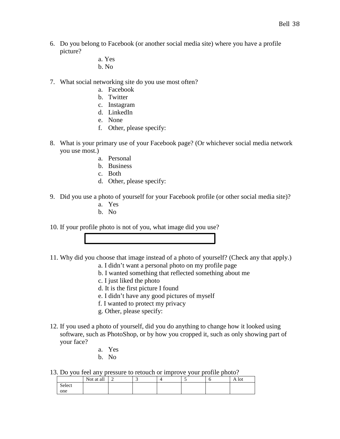- 6. Do you belong to Facebook (or another social media site) where you have a profile picture?
	- a. Yes
	- b. No
- 7. What social networking site do you use most often?
	- a. Facebook
	- b. Twitter
	- c. Instagram
	- d. LinkedIn
	- e. None
	- f. Other, please specify:
- 8. What is your primary use of your Facebook page? (Or whichever social media network you use most.)
	- a. Personal
	- b. Business
	- c. Both
	- d. Other, please specify:
- 9. Did you use a photo of yourself for your Facebook profile (or other social media site)?
	- a. Yes
	- b. No

10. If your profile photo is not of you, what image did you use?

- 11. Why did you choose that image instead of a photo of yourself? (Check any that apply.)
	- a. I didn't want a personal photo on my profile page
	- b. I wanted something that reflected something about me
	- c. I just liked the photo
	- d. It is the first picture I found
	- e. I didn't have any good pictures of myself
	- f. I wanted to protect my privacy
	- g. Other, please specify:
- 12. If you used a photo of yourself, did you do anything to change how it looked using software, such as PhotoShop, or by how you cropped it, such as only showing part of your face?
	- a. Yes
	- b. No
- 13. Do you feel any pressure to retouch or improve your profile photo?

|        | . .        |   |  |  |       |
|--------|------------|---|--|--|-------|
|        | Not at all | - |  |  | A lot |
| Select |            |   |  |  |       |
| one    |            |   |  |  |       |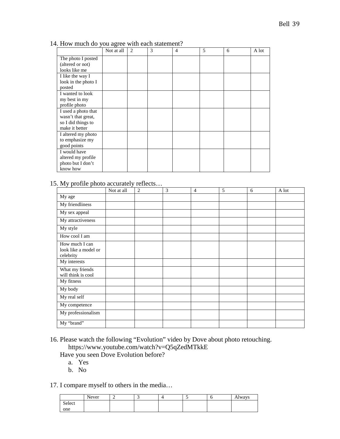| 14. How much do you agree with each statement? |                      |  |  |      |
|------------------------------------------------|----------------------|--|--|------|
|                                                | Not at all $\vert$ 2 |  |  | -lot |

|                                        | inot at all | ∠ | C | 4 | J | O | A IOU |
|----------------------------------------|-------------|---|---|---|---|---|-------|
| The photo I posted<br>(altered or not) |             |   |   |   |   |   |       |
| looks like me                          |             |   |   |   |   |   |       |
| I like the way I                       |             |   |   |   |   |   |       |
| look in the photo I                    |             |   |   |   |   |   |       |
| posted                                 |             |   |   |   |   |   |       |
| I wanted to look                       |             |   |   |   |   |   |       |
| my best in my                          |             |   |   |   |   |   |       |
| profile photo                          |             |   |   |   |   |   |       |
| I used a photo that                    |             |   |   |   |   |   |       |
| wasn't that great,                     |             |   |   |   |   |   |       |
| so I did things to                     |             |   |   |   |   |   |       |
| make it better                         |             |   |   |   |   |   |       |
| I altered my photo                     |             |   |   |   |   |   |       |
| to emphasize my                        |             |   |   |   |   |   |       |
| good points                            |             |   |   |   |   |   |       |
| I would have                           |             |   |   |   |   |   |       |
| altered my profile                     |             |   |   |   |   |   |       |
| photo but I don't                      |             |   |   |   |   |   |       |
| know how                               |             |   |   |   |   |   |       |

### 15. My profile photo accurately reflects…

| . .                                                 | Not at all | $\overline{2}$ | 3 | $\overline{4}$ | 5 | 6 | A lot |
|-----------------------------------------------------|------------|----------------|---|----------------|---|---|-------|
| My age                                              |            |                |   |                |   |   |       |
| My friendliness                                     |            |                |   |                |   |   |       |
| My sex appeal                                       |            |                |   |                |   |   |       |
| My attractiveness                                   |            |                |   |                |   |   |       |
| My style                                            |            |                |   |                |   |   |       |
| How cool I am                                       |            |                |   |                |   |   |       |
| How much I can<br>look like a model or<br>celebrity |            |                |   |                |   |   |       |
| My interests                                        |            |                |   |                |   |   |       |
| What my friends<br>will think is cool               |            |                |   |                |   |   |       |
| My fitness                                          |            |                |   |                |   |   |       |
| My body                                             |            |                |   |                |   |   |       |
| My real self                                        |            |                |   |                |   |   |       |
| My competence                                       |            |                |   |                |   |   |       |
| My professionalism                                  |            |                |   |                |   |   |       |
| My "brand"                                          |            |                |   |                |   |   |       |

- 16. Please watch the following "Evolution" video by Dove about photo retouching. https://www.youtube.com/watch?v=Q5qZedMTkkE
	- Have you seen Dove Evolution before?
		- a. Yes
		- b. No

### 17. I compare myself to others in the media…

|        | Never | ∽ |  |  | Always |
|--------|-------|---|--|--|--------|
| Select |       |   |  |  |        |
| one    |       |   |  |  |        |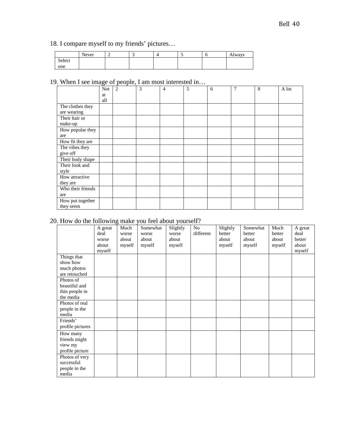### 18. I compare myself to my friends' pictures…

|        | Never | - |  |  | <b>Always</b> |
|--------|-------|---|--|--|---------------|
| Select |       |   |  |  |               |
| one    |       |   |  |  |               |

### 19. When I see image of people, I am most interested in…

|                   | <b>Not</b> | $\overline{2}$ | 3 | $\overline{4}$ | 5 | 6 | $\overline{7}$ | 8 | A lot |
|-------------------|------------|----------------|---|----------------|---|---|----------------|---|-------|
|                   | at         |                |   |                |   |   |                |   |       |
|                   | all        |                |   |                |   |   |                |   |       |
| The clothes they  |            |                |   |                |   |   |                |   |       |
| are wearing       |            |                |   |                |   |   |                |   |       |
| Their hair or     |            |                |   |                |   |   |                |   |       |
| make-up           |            |                |   |                |   |   |                |   |       |
| How popular they  |            |                |   |                |   |   |                |   |       |
| are               |            |                |   |                |   |   |                |   |       |
| How fit they are  |            |                |   |                |   |   |                |   |       |
| The vibes they    |            |                |   |                |   |   |                |   |       |
| give off          |            |                |   |                |   |   |                |   |       |
| Their body shape  |            |                |   |                |   |   |                |   |       |
| Their look and    |            |                |   |                |   |   |                |   |       |
| style             |            |                |   |                |   |   |                |   |       |
| How attractive    |            |                |   |                |   |   |                |   |       |
| they are          |            |                |   |                |   |   |                |   |       |
| Who their friends |            |                |   |                |   |   |                |   |       |
| are               |            |                |   |                |   |   |                |   |       |
| How put together  |            |                |   |                |   |   |                |   |       |
| they seem         |            |                |   |                |   |   |                |   |       |

## 20. How do the following make you feel about yourself?

|                  | A great | Much   | Somewhat | Slightly | N <sub>o</sub> | Slightly | Somewhat | Much   | A great |
|------------------|---------|--------|----------|----------|----------------|----------|----------|--------|---------|
|                  | deal    | worse  | worse    | worse    | different      | better   | better   | better | deal    |
|                  | worse   | about  | about    | about    |                | about    | about    | about  | better  |
|                  | about   | myself | myself   | myself   |                | myself   | myself   | myself | about   |
|                  | myself  |        |          |          |                |          |          |        | myself  |
| Things that      |         |        |          |          |                |          |          |        |         |
| show how         |         |        |          |          |                |          |          |        |         |
| much photos      |         |        |          |          |                |          |          |        |         |
| are retouched    |         |        |          |          |                |          |          |        |         |
| Photos of        |         |        |          |          |                |          |          |        |         |
| beautiful and    |         |        |          |          |                |          |          |        |         |
| thin people in   |         |        |          |          |                |          |          |        |         |
| the media        |         |        |          |          |                |          |          |        |         |
| Photos of real   |         |        |          |          |                |          |          |        |         |
| people in the    |         |        |          |          |                |          |          |        |         |
| media            |         |        |          |          |                |          |          |        |         |
| Friends'         |         |        |          |          |                |          |          |        |         |
| profile pictures |         |        |          |          |                |          |          |        |         |
| How many         |         |        |          |          |                |          |          |        |         |
| friends might    |         |        |          |          |                |          |          |        |         |
| view my          |         |        |          |          |                |          |          |        |         |
| profile picture  |         |        |          |          |                |          |          |        |         |
| Photos of very   |         |        |          |          |                |          |          |        |         |
| successful       |         |        |          |          |                |          |          |        |         |
| people in the    |         |        |          |          |                |          |          |        |         |
| media            |         |        |          |          |                |          |          |        |         |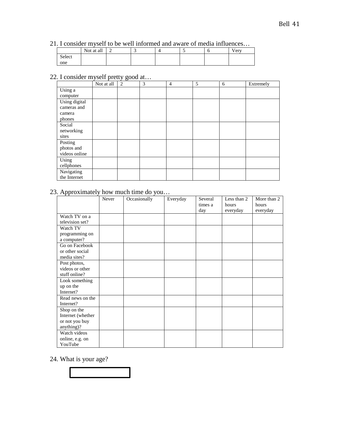### 21. I consider myself to be well informed and aware of media influences…

|        | Not at all | - |  |  | Very |
|--------|------------|---|--|--|------|
| Select |            |   |  |  |      |
| one    |            |   |  |  |      |

### 22. I consider myself pretty good at…

|                                                  | Not at all | 2 | 3 | $\overline{4}$ | 5 | 6 | Extremely |
|--------------------------------------------------|------------|---|---|----------------|---|---|-----------|
| $\overline{\text{Using}}$ a<br>computer          |            |   |   |                |   |   |           |
| Using digital<br>cameras and<br>camera<br>phones |            |   |   |                |   |   |           |
| Social<br>networking<br>sites                    |            |   |   |                |   |   |           |
| Posting<br>photos and<br>videos online           |            |   |   |                |   |   |           |
| Using<br>cellphones                              |            |   |   |                |   |   |           |
| Navigating<br>the Internet                       |            |   |   |                |   |   |           |

### 23. Approximately how much time do you…

|                   | Never | Occasionally | Everyday | Several<br>times a | Less than 2<br>hours | More than 2<br>hours |
|-------------------|-------|--------------|----------|--------------------|----------------------|----------------------|
|                   |       |              |          | day                | everyday             | everyday             |
| Watch TV on a     |       |              |          |                    |                      |                      |
| television set?   |       |              |          |                    |                      |                      |
| Watch TV          |       |              |          |                    |                      |                      |
| programming on    |       |              |          |                    |                      |                      |
| a computer?       |       |              |          |                    |                      |                      |
| Go on Facebook    |       |              |          |                    |                      |                      |
| or other social   |       |              |          |                    |                      |                      |
| media sites?      |       |              |          |                    |                      |                      |
| Post photos,      |       |              |          |                    |                      |                      |
| videos or other   |       |              |          |                    |                      |                      |
| stuff online?     |       |              |          |                    |                      |                      |
| Look something    |       |              |          |                    |                      |                      |
| up on the         |       |              |          |                    |                      |                      |
| Internet?         |       |              |          |                    |                      |                      |
| Read news on the  |       |              |          |                    |                      |                      |
| Internet?         |       |              |          |                    |                      |                      |
| Shop on the       |       |              |          |                    |                      |                      |
| Internet (whether |       |              |          |                    |                      |                      |
| or not you buy    |       |              |          |                    |                      |                      |
| anything)?        |       |              |          |                    |                      |                      |
| Watch videos      |       |              |          |                    |                      |                      |
| online, e.g. on   |       |              |          |                    |                      |                      |
| YouTube           |       |              |          |                    |                      |                      |

### 24. What is your age?

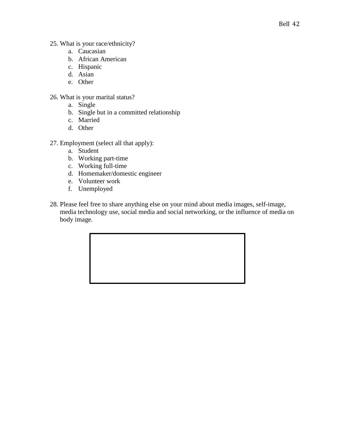- 25. What is your race/ethnicity?
	- a. Caucasian
	- b. African American
	- c. Hispanic
	- d. Asian
	- e. Other
- 26. What is your marital status?
	- a. Single
	- b. Single but in a committed relationship
	- c. Married
	- d. Other
- 27. Employment (select all that apply):
	- a. Student
	- b. Working part-time
	- c. Working full-time
	- d. Homemaker/domestic engineer
	- e. Volunteer work
	- f. Unemployed
- 28. Please feel free to share anything else on your mind about media images, self-image, media technology use, social media and social networking, or the influence of media on body image.

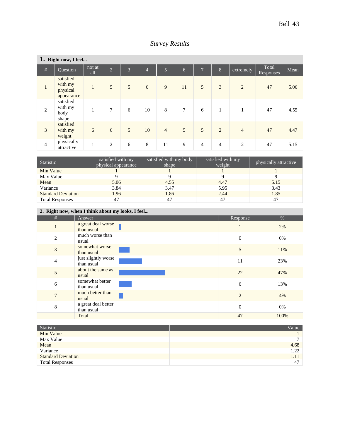|  | <b>Survey Results</b> |
|--|-----------------------|
|--|-----------------------|

|                | 1. Right now, I feel                           |               |                |   |                |                |                |                |                |                |                    |      |
|----------------|------------------------------------------------|---------------|----------------|---|----------------|----------------|----------------|----------------|----------------|----------------|--------------------|------|
| $\#$           | Question                                       | not at<br>all | 2              | 3 | $\overline{4}$ | $\overline{5}$ | $\overline{6}$ | $\overline{7}$ | 8              | extremely      | Total<br>Responses | Mean |
| $\mathbf{1}$   | satisfied<br>with my<br>physical<br>appearance | $\mathbf{1}$  | 5              | 5 | 6              | 9              | 11             | $\overline{5}$ | 3              | $\overline{2}$ | 47                 | 5.06 |
| $\overline{2}$ | satisfied<br>with my<br>body<br>shape          | 1             | $\tau$         | 6 | 10             | 8              | $\overline{7}$ | 6              | 1              | $\mathbf{1}$   | 47                 | 4.55 |
| $\overline{3}$ | satisfied<br>with my<br>weight                 | 6             | 6              | 5 | 10             | $\overline{4}$ | 5              | 5              | $\overline{2}$ | $\overline{4}$ | 47                 | 4.47 |
| $\overline{4}$ | physically<br>attractive                       | $\mathbf{1}$  | $\overline{c}$ | 6 | 8              | 11             | 9              | $\overline{4}$ | $\overline{4}$ | $\mathbf{2}$   | 47                 | 5.15 |

| Statistic                 | satisfied with my<br>physical appearance | satisfied with my body<br>shape | satisfied with my<br>weight | physically attractive |
|---------------------------|------------------------------------------|---------------------------------|-----------------------------|-----------------------|
| Min Value                 |                                          |                                 |                             |                       |
| Max Value                 |                                          |                                 |                             |                       |
| Mean                      | 5.06                                     | 4.55                            | 4.47                        | 5.15                  |
| Variance                  | 3.84                                     | 3.47                            | 5.95                        | 3.43                  |
| <b>Standard Deviation</b> | 1.96                                     | 1.86                            | 2.44                        | 1.85                  |
| <b>Total Responses</b>    | 47                                       |                                 | 47                          |                       |

### **2. Right now, when I think about my looks, I feel...**

| #              | Answer                            | Response       | %    |
|----------------|-----------------------------------|----------------|------|
|                | a great deal worse<br>than usual  |                | 2%   |
| $\overline{2}$ | much worse than<br>usual          | $\theta$       | 0%   |
| 3              | somewhat worse<br>than usual      | 5              | 11%  |
| $\overline{4}$ | just slightly worse<br>than usual | 11             | 23%  |
| 5              | about the same as<br>usual        | 22             | 47%  |
| 6              | somewhat better<br>than usual     | 6              | 13%  |
| $\overline{7}$ | much better than<br>usual         | $\overline{2}$ | 4%   |
| 8              | a great deal better<br>than usual | $\overline{0}$ | 0%   |
|                | Total                             | 47             | 100% |

| Statistic                 | Value        |
|---------------------------|--------------|
| Min Value                 |              |
| Max Value                 | $\mathbf{r}$ |
| Mean                      | 4.68         |
| Variance                  | 1.22         |
| <b>Standard Deviation</b> | 1.11         |
| <b>Total Responses</b>    | 47           |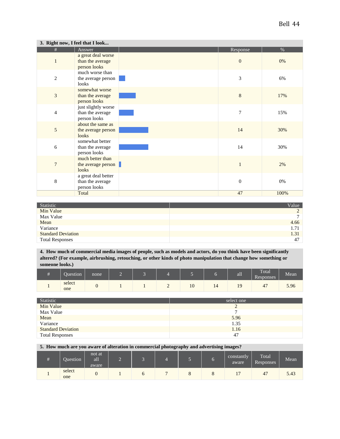|                | 3. Right now, I feel that I look                        |                  |      |
|----------------|---------------------------------------------------------|------------------|------|
| #              | Answer                                                  | Response         | %    |
| $\mathbf{1}$   | a great deal worse<br>than the average<br>person looks  | $\boldsymbol{0}$ | 0%   |
| $\mathfrak{2}$ | much worse than<br>the average person<br>looks          | 3                | 6%   |
| 3              | somewhat worse<br>than the average<br>person looks      | $\,8\,$          | 17%  |
| $\overline{4}$ | just slightly worse<br>than the average<br>person looks | $\overline{7}$   | 15%  |
| 5              | about the same as<br>the average person<br>looks        | 14               | 30%  |
| 6              | somewhat better<br>than the average<br>person looks     | 14               | 30%  |
| $\overline{7}$ | much better than<br>the average person<br>looks         | 1                | 2%   |
| 8              | a great deal better<br>than the average<br>person looks | $\boldsymbol{0}$ | 0%   |
|                | Total                                                   | 47               | 100% |

| Statistic                 | Value        |
|---------------------------|--------------|
| Min Value                 | $\bigcap$    |
| Max Value                 | $\mathbf{r}$ |
| Mean                      | 4.66         |
| Variance                  | 1.71         |
| <b>Standard Deviation</b> | 1.31         |
| <b>Total Responses</b>    | 47           |

**4. How much of commercial media images of people, such as models and actors, do you think have been significantly altered? (For example, airbrushing, retouching, or other kinds of photo manipulation that change how something or someone looks.)**

| Ouestion <sup>'</sup> | none | 2 |  | œ  |    | aш             | Total<br>–<br>Responses | Mean |
|-----------------------|------|---|--|----|----|----------------|-------------------------|------|
| select<br>one         | v    |   |  | 10 | 14 | $\Omega$<br>τ, | 47                      | 5.96 |

| Statistic                 | select one |
|---------------------------|------------|
| Min Value                 |            |
| Max Value                 |            |
| Mean                      | 5.96       |
| Variance                  | 1.35       |
| <b>Standard Deviation</b> | 1.16       |
| <b>Total Responses</b>    | 47         |

**5. How much are you aware of alteration in commercial photography and advertising images?**

| Ouestion <sup>1</sup> | not at<br>all<br>aware | ,,, |  |  | constantly<br>aware | Total<br>Responses | Mean |
|-----------------------|------------------------|-----|--|--|---------------------|--------------------|------|
| select<br>one         |                        |     |  |  |                     | 47                 | 5.43 |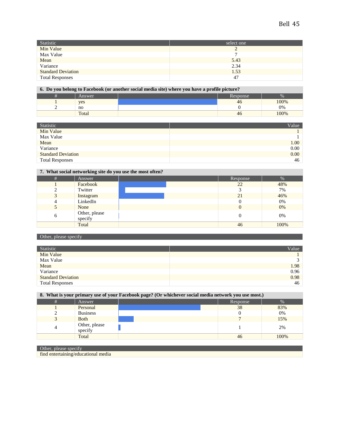| Statistic                 | select one |
|---------------------------|------------|
| Min Value                 |            |
| Max Value                 | r          |
| Mean                      | 5.43       |
| Variance                  | 2.34       |
| <b>Standard Deviation</b> | 1.53       |
| <b>Total Responses</b>    | 47         |

#### **6. Do you belong to Facebook (or another social media site) where you have a profile picture?**

| of 20 jour second to 2 need our (or millener soeing means site) where you may e is promine to |  |          |      |  |  |
|-----------------------------------------------------------------------------------------------|--|----------|------|--|--|
| Answer                                                                                        |  | Response |      |  |  |
| yes                                                                                           |  | 40       | 100% |  |  |
| no                                                                                            |  |          | 0%   |  |  |
| Total                                                                                         |  | 46       | 100% |  |  |

| Statistic                 | Value |
|---------------------------|-------|
| Min Value                 |       |
| Max Value                 |       |
| Mean                      | 1.00  |
| Variance                  | 0.00  |
| <b>Standard Deviation</b> | 0.00  |
| <b>Total Responses</b>    | 46    |

### **7. What social networking site do you use the most often?**

| # | Answer                   | Response | %    |
|---|--------------------------|----------|------|
|   | Facebook                 | 22       | 48%  |
|   | Twitter                  |          | 7%   |
|   | Instagram                | 21       | 46%  |
|   | LinkedIn                 |          | 0%   |
|   | None                     |          | 0%   |
| h | Other, please<br>specify |          | 0%   |
|   | Total                    | 46       | 100% |

#### Other, please specify

| Statistic                 | Value |
|---------------------------|-------|
| Min Value                 |       |
| Max Value                 | ◠     |
| Mean                      | 1.98  |
| Variance                  | 0.96  |
| <b>Standard Deviation</b> | 0.98  |
| <b>Total Responses</b>    | 46    |

| 8. What is your primary use of your Facebook page? (Or whichever social media network you use most.) |                 |  |  |          |      |  |
|------------------------------------------------------------------------------------------------------|-----------------|--|--|----------|------|--|
|                                                                                                      | Answer          |  |  | Response | $\%$ |  |
|                                                                                                      | Personal        |  |  |          | 83%  |  |
|                                                                                                      | <b>Business</b> |  |  |          | 0%   |  |
|                                                                                                      | __              |  |  |          |      |  |

| <b>Both</b>              |    | 15%  |
|--------------------------|----|------|
| Other, please<br>specity |    | 2%   |
| Total                    | 46 | 100% |

### Other, please specify

find entertaining/educational media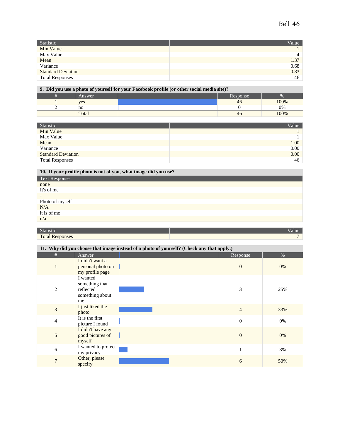| Value |
|-------|
|       |
| 4     |
| 1.37  |
| 0.68  |
| 0.83  |
| 46    |
|       |

#### **9. Did you use a photo of yourself for your Facebook profile (or other social media site)?**

| Answer |  |  | Response |      |
|--------|--|--|----------|------|
| yes    |  |  | 40       | 100% |
| no     |  |  |          | 0%   |
| Total  |  |  | 40       | 100% |

| Statistic                 | Value <sup>1</sup> |
|---------------------------|--------------------|
| Min Value                 |                    |
| Max Value                 |                    |
| Mean                      | 1.00               |
| Variance                  | 0.00               |
| <b>Standard Deviation</b> | 0.00               |
| <b>Total Responses</b>    | 46                 |

#### **10. If your profile photo is not of you, what image did you use?**

| <b>Text Response</b>     |
|--------------------------|
| none                     |
| It's of me               |
| $\overline{\phantom{a}}$ |
| Photo of myself          |
| $\rm N/A$                |
| it is of me              |
| n/a                      |
|                          |

#### Statistic **Value**

**Total Responses 7** 

### **11. Why did you choose that image instead of a photo of yourself? (Check any that apply.)**

| #              | Answer                                                           | Response       | $\%$ |
|----------------|------------------------------------------------------------------|----------------|------|
| 1              | I didn't want a<br>personal photo on<br>my profile page          | $\mathbf{0}$   | 0%   |
| 2              | I wanted<br>something that<br>reflected<br>something about<br>me | 3              | 25%  |
| 3              | I just liked the<br>photo                                        | $\overline{4}$ | 33%  |
| $\overline{4}$ | It is the first<br>picture I found                               | $\overline{0}$ | 0%   |
| 5              | I didn't have any<br>good pictures of<br>myself                  | $\mathbf{0}$   | 0%   |
| 6              | I wanted to protect<br>my privacy                                | 1              | 8%   |
| $\overline{7}$ | Other, please<br>specify                                         | 6              | 50%  |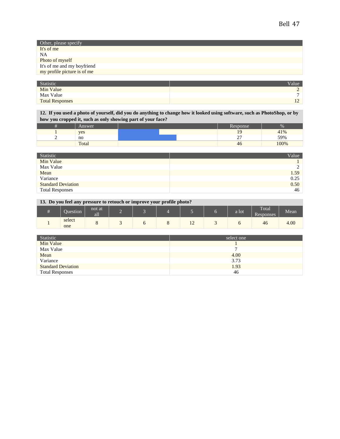| Other, please specify       |
|-----------------------------|
| It's of me                  |
| NA                          |
| Photo of myself             |
| It's of me and my boyfriend |
| my profile picture is of me |

| Statistic              | Value      |
|------------------------|------------|
| Min Value              |            |
| Max Value              |            |
| <b>Total Responses</b> | $\sim$<br> |

**12. If you used a photo of yourself, did you do anything to change how it looked using software, such as PhotoShop, or by how you cropped it, such as only showing part of your face?**

| Answer |  | Response                |      |
|--------|--|-------------------------|------|
| yes    |  |                         | 41%  |
| no     |  | $\sim$ $-$<br><b>__</b> | 59%  |
| Total  |  | 46                      | 100% |

| Statistic                 | Value |
|---------------------------|-------|
| Min Value                 |       |
| Max Value                 |       |
| Mean                      | 1.59  |
| Variance                  | 0.25  |
| <b>Standard Deviation</b> | 0.50  |
| <b>Total Responses</b>    | 46    |

**13. Do you feel any pressure to retouch or improve your profile photo?**

| Question      | not at<br>--<br>all | c |   |                | a lot | Total<br>Responses | Mean |
|---------------|---------------------|---|---|----------------|-------|--------------------|------|
| select<br>one |                     |   | ີ | $\overline{1}$ |       | 46                 | 4.00 |

| Statistic                 | select one |
|---------------------------|------------|
| Min Value                 |            |
| Max Value                 | −          |
| Mean                      | 4.00       |
| Variance                  | 3.73       |
| <b>Standard Deviation</b> | 1.93       |
| <b>Total Responses</b>    | 46         |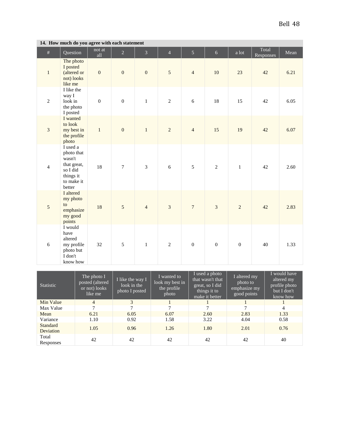| $\#$           | Question                                                                                         | not at<br>all    | $\overline{2}$   | 3                | $\overline{4}$ | $\overline{5}$   | 6                | a lot            | Total<br>Responses | Mean |
|----------------|--------------------------------------------------------------------------------------------------|------------------|------------------|------------------|----------------|------------------|------------------|------------------|--------------------|------|
| $\mathbf{1}$   | The photo<br>I posted<br>(altered or<br>not) looks<br>like me                                    | $\boldsymbol{0}$ | $\boldsymbol{0}$ | $\boldsymbol{0}$ | $\mathfrak{S}$ | $\overline{4}$   | 10               | 23               | 42                 | 6.21 |
| $\overline{2}$ | I like the<br>way I<br>look in<br>the photo<br>I posted                                          | $\boldsymbol{0}$ | $\boldsymbol{0}$ | $\mathbf{1}$     | $\sqrt{2}$     | 6                | 18               | 15               | 42                 | 6.05 |
| $\overline{3}$ | I wanted<br>to look<br>my best in<br>the profile<br>photo                                        | $\mathbf{1}$     | $\boldsymbol{0}$ | $\mathbf{1}$     | $\overline{2}$ | $\overline{4}$   | 15               | 19               | 42                 | 6.07 |
| $\overline{4}$ | I used a<br>photo that<br>wasn't<br>that great,<br>so I did<br>things it<br>to make it<br>better | 18               | $\boldsymbol{7}$ | 3                | $6\,$          | $\sqrt{5}$       | $\sqrt{2}$       | $1\,$            | 42                 | 2.60 |
| 5              | I altered<br>my photo<br>to<br>emphasize<br>my good<br>points                                    | 18               | 5                | $\overline{4}$   | $\overline{3}$ | $\overline{7}$   | $\overline{3}$   | $\overline{c}$   | 42                 | 2.83 |
| 6              | I would<br>have<br>altered<br>my profile<br>photo but<br>I don't<br>know how                     | 32               | $\sqrt{5}$       | $\,1$            | $\overline{2}$ | $\boldsymbol{0}$ | $\boldsymbol{0}$ | $\boldsymbol{0}$ | 40                 | 1.33 |

#### **14. How much do you agree with each statement**

| <b>Statistic</b>      | The photo $I_{\perp}$<br>posted (altered<br>or not) looks<br>like me | I like the way I<br>look in the<br>photo I posted | I wanted to<br>look my best in<br>the profile<br>photo | I used a photo<br>that wasn't that<br>great, so I did<br>things it to<br>make it better | I altered my<br>photo to<br>emphasize my<br>good points | I would have<br>altered my<br>profile photo<br>but I don't<br>know how |
|-----------------------|----------------------------------------------------------------------|---------------------------------------------------|--------------------------------------------------------|-----------------------------------------------------------------------------------------|---------------------------------------------------------|------------------------------------------------------------------------|
| Min Value             | $\overline{4}$                                                       | 3                                                 |                                                        |                                                                                         |                                                         |                                                                        |
| Max Value             | ⇁                                                                    | 7                                                 | 7                                                      | 7                                                                                       | $\mathbf{r}$                                            | 4                                                                      |
| Mean                  | 6.21                                                                 | 6.05                                              | 6.07                                                   | 2.60                                                                                    | 2.83                                                    | 1.33                                                                   |
| Variance              | 1.10                                                                 | 0.92                                              | 1.58                                                   | 3.22                                                                                    | 4.04                                                    | 0.58                                                                   |
| Standard<br>Deviation | 1.05                                                                 | 0.96                                              | 1.26                                                   | 1.80                                                                                    | 2.01                                                    | 0.76                                                                   |
| Total<br>Responses    | 42                                                                   | 42                                                | 42                                                     | 42                                                                                      | 42                                                      | 40                                                                     |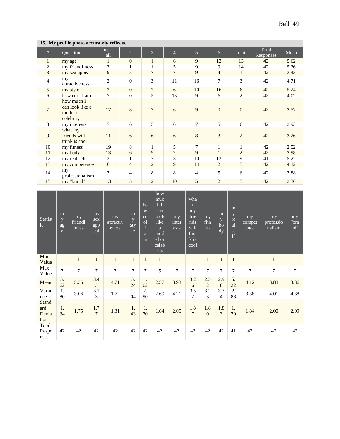| ret n'i prome photo accurately rencember |                                                        |                |                  |                |                |                |                |                |                    |      |  |
|------------------------------------------|--------------------------------------------------------|----------------|------------------|----------------|----------------|----------------|----------------|----------------|--------------------|------|--|
| #                                        | Question                                               | not at<br>all  | $\overline{c}$   | 3              | $\overline{4}$ | 5              | 6              | a lot          | Total<br>Responses | Mean |  |
| $\mathbf{1}$                             | my age                                                 | $\mathbf{1}$   | $\mathbf{0}$     | $\mathbf{1}$   | 6              | 9              | 12             | 13             | 42                 | 5.62 |  |
| 2                                        | my friendliness                                        | 3              | 1                | 1              | 5              | 9              | 9              | 14             | 42                 | 5.36 |  |
| $\mathfrak{Z}$                           | my sex appeal                                          | 9              | 5                | $\overline{7}$ | $\overline{7}$ | 9              | $\overline{4}$ | $\mathbf{1}$   | 42                 | 3.43 |  |
| $\overline{4}$                           | my<br>attractiveness                                   | $\overline{2}$ | $\boldsymbol{0}$ | 3              | 11             | 16             | 7              | 3              | 42                 | 4.71 |  |
| 5                                        | my style                                               | $\overline{2}$ | $\mathbf{0}$     | $\overline{2}$ | 6              | 10             | 16             | 6              | 42                 | 5.24 |  |
| 6                                        | how cool I am                                          | 7              | $\boldsymbol{0}$ | 5              | 13             | 9              | 6              | $\overline{c}$ | 42                 | 4.02 |  |
| $\tau$                                   | how much I<br>can look like a<br>model or<br>celebrity | 17             | 8                | 2              | 6              | 9              | $\overline{0}$ | $\overline{0}$ | 42                 | 2.57 |  |
| 8                                        | my interests                                           | $\tau$         | 6                | 5              | 6              | 7              | 5              | 6              | 42                 | 3.93 |  |
| 9                                        | what my<br>friends will<br>think is cool               | 11             | $\sqrt{6}$       | 6              | 6              | 8              | 3              | $\overline{2}$ | 42                 | 3.26 |  |
| 10                                       | my fitness                                             | 19             | $\,8\,$          | 1              | 5              | 7              | 1              | 1              | 42                 | 2.52 |  |
| 11                                       | my body                                                | 13             | 6                | 9              | 2              | 9              | 1              | 2              | 42                 | 2.98 |  |
| 12                                       | my real self                                           | 3              | 1                | 2              | 3              | 10             | 13             | 9              | 41                 | 5.22 |  |
| 13                                       | my competence                                          | 6              | $\overline{4}$   | 2              | 9              | 14             | 2              | 5              | 42                 | 4.12 |  |
| 14                                       | my<br>professionalism                                  | $\tau$         | $\overline{4}$   | 8              | 8              | $\overline{4}$ | 5              | 6              | 42                 | 3.88 |  |
| 15                                       | my "brand"                                             | 13             | 5                | $\overline{2}$ | 10             | 5              | $\overline{2}$ | 5              | 42                 | 3.36 |  |

### **15. My profile photo accurately reflects...**

| <b>Statist</b><br>ic                 | m<br>y<br>ag<br>e | my<br>friendl<br>iness | my<br>sex<br>app<br>eal | my<br>attractiv<br>eness | m<br>y<br>sty<br>le | ho<br>W<br>CO<br><sub>o</sub> l<br>$\bf{I}$<br>a<br>m | how<br>muc<br>hI<br>can<br>look<br>like<br>a<br>mod<br>el or<br>celeb<br>rity | my<br>inter<br>ests | wha<br>my<br>frie<br>nds<br>will<br>thin<br>k is<br>cool | my<br>fitn<br>ess     | m<br>y<br>bo<br>$\overline{dy}$ | m<br>y<br>re<br>al<br>se<br> f | my<br>compet<br>ence | my<br>professio<br>nalism | my<br>"bra<br>nd" |
|--------------------------------------|-------------------|------------------------|-------------------------|--------------------------|---------------------|-------------------------------------------------------|-------------------------------------------------------------------------------|---------------------|----------------------------------------------------------|-----------------------|---------------------------------|--------------------------------|----------------------|---------------------------|-------------------|
| Min<br>Value                         | $\mathbf{1}$      | $\mathbf{1}$           | $\mathbf{1}$            | $\mathbf{1}$             | $\mathbf{1}$        | $\mathbf{1}$                                          | $\mathbf{1}$                                                                  | $\mathbf{1}$        | $\mathbf{1}$                                             | $\mathbf{1}$          | $\mathbf{1}$                    | $\mathbf{1}$                   | 1                    | $\mathbf{1}$              | $\mathbf{1}$      |
| Max<br>Value                         | $\overline{7}$    | 7                      | $\overline{7}$          | $\overline{7}$           | $\overline{7}$      | $\overline{7}$                                        | 5                                                                             | $\overline{7}$      | $\overline{7}$                                           | 7                     | $\overline{7}$                  | 7                              | 7                    | $\overline{7}$            | $\tau$            |
| Mean                                 | 5.<br>62          | 5.36                   | 3.4<br>$\overline{3}$   | 4.71                     | 5.<br>24            | 4.<br>02                                              | 2.57                                                                          | 3.93                | 3.2<br>6                                                 | 2.5<br>$\overline{c}$ | 2.9<br>8                        | 5.<br>22                       | 4.12                 | 3.88                      | 3.36              |
| Varia<br>nce                         | 1.<br>80          | 3.06                   | 3.1<br>3                | 1.72                     | 2.<br>04            | 2.<br>90                                              | 2.69                                                                          | 4.21                | 3.5<br>$\overline{2}$                                    | 3.2<br>3              | 3.3<br>4                        | 2.<br>88                       | 3.38                 | 4.01                      | 4.38              |
| <b>Stand</b><br>ard<br>Devia<br>tion | 1.<br>34          | 1.75                   | 1.7<br>$\overline{7}$   | 1.31                     | 1.<br>43            | 1.<br>70                                              | 1.64                                                                          | 2.05                | 1.8<br>$\overline{7}$                                    | 1.8<br>$\mathbf{0}$   | 1.8<br>3                        | 1.<br>70                       | 1.84                 | 2.00                      | 2.09              |
| Total<br>Respo<br>nses               | 42                | 42                     | 42                      | 42                       | 42                  | 42                                                    | 42                                                                            | 42                  | 42                                                       | 42                    | 42                              | 41                             | 42                   | 42                        | 42                |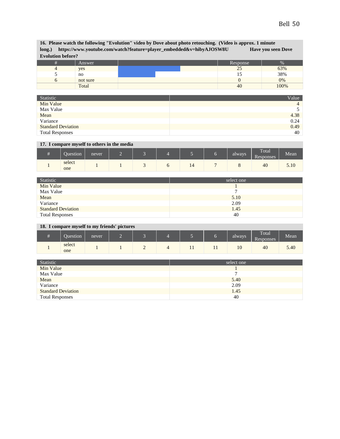| 16. Please watch the following "Evolution" video by Dove about photo retouching. (Video is approx. 1 minute<br>https://www.youtube.com/watch?feature=player_embedded&v=hibyAJOSW8U<br><b>Have you seen Dove</b><br>long.)<br><b>Evolution before?</b> |          |  |          |       |  |  |  |  |
|-------------------------------------------------------------------------------------------------------------------------------------------------------------------------------------------------------------------------------------------------------|----------|--|----------|-------|--|--|--|--|
| #                                                                                                                                                                                                                                                     | Answer   |  | Response | $\%$  |  |  |  |  |
| 4                                                                                                                                                                                                                                                     | yes      |  | 25       | 63%   |  |  |  |  |
|                                                                                                                                                                                                                                                       | no       |  |          | 38%   |  |  |  |  |
|                                                                                                                                                                                                                                                       | not sure |  |          | $0\%$ |  |  |  |  |
|                                                                                                                                                                                                                                                       | Total    |  | 40       | 100%  |  |  |  |  |

| Statistic                 | Value          |
|---------------------------|----------------|
| Min Value                 | $\overline{4}$ |
| Max Value                 |                |
| Mean                      | 4.38           |
| Variance                  | 0.24           |
| <b>Standard Deviation</b> | 0.49           |
| <b>Total Responses</b>    | 40             |

### **17. I compare myself to others in the media**

| Question      | never | ⋍ |  |    |   | always | Total<br>Responses | Mean |
|---------------|-------|---|--|----|---|--------|--------------------|------|
| select<br>one |       |   |  | 14 | - |        | 40                 | 5.10 |

| Statistic                 | select one |
|---------------------------|------------|
| Min Value                 |            |
| Max Value                 |            |
| Mean                      | 5.10       |
| Variance                  | 2.09       |
| <b>Standard Deviation</b> | 1.45       |
| <b>Total Responses</b>    | 40         |

### **18. I compare myself to my friends' pictures**

| Question      | never | - |   |     |     | always | Total<br>Responses | --<br>Mean |
|---------------|-------|---|---|-----|-----|--------|--------------------|------------|
| select<br>one |       |   | ∼ | . . | . . | 10     | 40                 | 5.40       |

| Statistic                 | select one |
|---------------------------|------------|
| Min Value                 |            |
| Max Value                 |            |
| Mean                      | 5.40       |
| Variance                  | 2.09       |
| <b>Standard Deviation</b> | 1.45       |
| <b>Total Responses</b>    | 40         |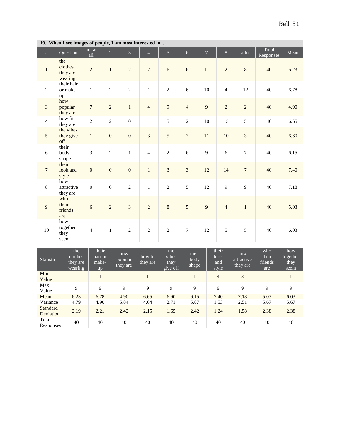÷.

|                | 19. A nen 1 see mages of people, I am most meerested m |                  |                  |                  |                |                |                  |                |                |                  |                    |      |
|----------------|--------------------------------------------------------|------------------|------------------|------------------|----------------|----------------|------------------|----------------|----------------|------------------|--------------------|------|
| $\#$           | Question                                               | not at<br>all    | $\overline{2}$   | 3                | $\overline{4}$ | 5              | $\boldsymbol{6}$ | $\overline{7}$ | $8\,$          | a lot            | Total<br>Responses | Mean |
| $\mathbf{1}$   | the<br>clothes<br>they are<br>wearing                  | $\sqrt{2}$       | $\,1\,$          | $\sqrt{2}$       | $\sqrt{2}$     | $\sqrt{6}$     | $\sqrt{6}$       | $11\,$         | $\sqrt{2}$     | $\,8\,$          | 40                 | 6.23 |
| $\overline{c}$ | their hair<br>or make-<br>up                           | $\mathbf 1$      | $\overline{2}$   | $\overline{c}$   | $\mathbf{1}$   | $\overline{2}$ | 6                | $10\,$         | $\overline{4}$ | 12               | 40                 | 6.78 |
| $\overline{3}$ | how<br>popular<br>they are                             | $\boldsymbol{7}$ | $\sqrt{2}$       | $\,1$            | $\overline{4}$ | $\overline{9}$ | $\sqrt{4}$       | $\overline{9}$ | $\overline{c}$ | $\overline{c}$   | 40                 | 4.90 |
| $\overline{4}$ | how fit<br>they are                                    | $\sqrt{2}$       | $\overline{2}$   | $\boldsymbol{0}$ | $\mathbf{1}$   | 5              | $\sqrt{2}$       | $10\,$         | 13             | 5                | 40                 | 6.65 |
| 5 <sup>5</sup> | the vibes<br>they give<br>off                          | $\mathbf{1}$     | $\mathbf{0}$     | $\boldsymbol{0}$ | $\overline{3}$ | 5              | $\sqrt{ }$       | 11             | 10             | $\overline{3}$   | 40                 | 6.60 |
| 6              | their<br>body<br>shape                                 | $\overline{3}$   | $\overline{2}$   | $\mathbf{1}$     | $\overline{4}$ | $\overline{2}$ | 6                | 9              | $\sqrt{6}$     | $\tau$           | 40                 | 6.15 |
| 7 <sup>7</sup> | their<br>look and<br>style                             | $\boldsymbol{0}$ | $\boldsymbol{0}$ | $\boldsymbol{0}$ | $1\,$          | $\overline{3}$ | $\sqrt{3}$       | $12\,$         | 14             | $\boldsymbol{7}$ | 40                 | 7.40 |
| $8\,$          | how<br>attractive<br>they are                          | $\boldsymbol{0}$ | $\boldsymbol{0}$ | $\overline{2}$   | $\mathbf{1}$   | $\overline{c}$ | 5                | 12             | 9              | 9                | 40                 | 7.18 |
| 9              | who<br>their<br>friends<br>are                         | $\sqrt{6}$       | $\overline{2}$   | 3                | $\overline{c}$ | $\,8\,$        | $\sqrt{5}$       | 9              | $\overline{4}$ | $\mathbf{1}$     | 40                 | 5.03 |
| 10             | how<br>together<br>they<br>seem                        | $\overline{4}$   | $\mathbf{1}$     | $\overline{c}$   | $\overline{2}$ | $\overline{2}$ | $\boldsymbol{7}$ | 12             | 5              | 5                | 40                 | 6.03 |

**19. When I see images of people, I am most interested in...**

| Statistic             | the<br>clothes<br>they are<br>wearing | their<br>hair or<br>make-<br>up | how<br>popular<br>they are | how fit<br>they are | the<br>vibes<br>they<br>give off | their<br>body<br>shape | their<br>look<br>and<br>style | how<br>attractive<br>they are | who<br>their<br>friends<br>are | how<br>together<br>they<br>seem |
|-----------------------|---------------------------------------|---------------------------------|----------------------------|---------------------|----------------------------------|------------------------|-------------------------------|-------------------------------|--------------------------------|---------------------------------|
| Min<br>Value          |                                       |                                 |                            |                     |                                  |                        | $\overline{4}$                | 3                             |                                |                                 |
| Max<br>Value          | 9                                     | 9                               | 9                          | 9                   | 9                                | 9                      | 9                             | 9                             | 9                              | 9                               |
| Mean                  | 6.23                                  | 6.78                            | 4.90                       | 6.65                | 6.60                             | 6.15                   | 7.40                          | 7.18                          | 5.03                           | 6.03                            |
| Variance              | 4.79                                  | 4.90                            | 5.84                       | 4.64                | 2.71                             | 5.87                   | 1.53                          | 2.51                          | 5.67                           | 5.67                            |
| Standard<br>Deviation | 2.19                                  | 2.21                            | 2.42                       | 2.15                | 1.65                             | 2.42                   | 1.24                          | 1.58                          | 2.38                           | 2.38                            |
| Total<br>Responses    | 40                                    | 40                              | 40                         | 40                  | 40                               | 40                     | 40                            | 40                            | 40                             | 40                              |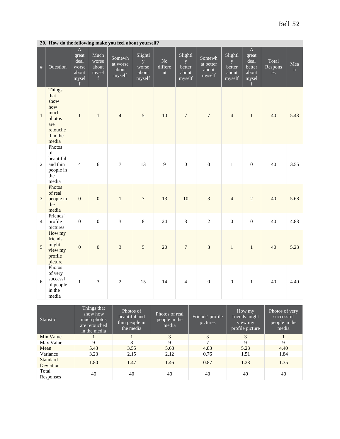|                |                                                                                                | 20. How do the following make you feel about yourself?          |                                      |                                       |                                          |                     |                                           |                                        |                                            |                                                               |                        |          |
|----------------|------------------------------------------------------------------------------------------------|-----------------------------------------------------------------|--------------------------------------|---------------------------------------|------------------------------------------|---------------------|-------------------------------------------|----------------------------------------|--------------------------------------------|---------------------------------------------------------------|------------------------|----------|
| $\#$           | Question                                                                                       | $\overline{A}$<br>great<br>deal<br>worse<br>about<br>mysel<br>f | Much<br>worse<br>about<br>mysel<br>f | Somewh<br>at worse<br>about<br>myself | Slightl<br>y<br>worse<br>about<br>myself | No<br>differe<br>nt | Slightl<br>y<br>better<br>about<br>myself | Somewh<br>at better<br>about<br>myself | Slightl<br>y.<br>better<br>about<br>myself | $\mathbf A$<br>great<br>deal<br>better<br>about<br>mysel<br>f | Total<br>Respons<br>es | Mea<br>n |
| $\mathbf{1}$   | <b>Things</b><br>that<br>show<br>how<br>much<br>photos<br>are<br>retouche<br>d in the<br>media | $\mathbf{1}$                                                    | $\mathbf{1}$                         | $\overline{4}$                        | 5                                        | 10                  | $\overline{7}$                            | $\overline{7}$                         | $\overline{4}$                             | $\mathbf{1}$                                                  | 40                     | 5.43     |
| $\mathbf{2}$   | Photos<br>of<br>beautiful<br>and thin<br>people in<br>the<br>media                             | $\overline{4}$                                                  | 6                                    | $\boldsymbol{7}$                      | 13                                       | 9                   | $\boldsymbol{0}$                          | $\mathbf{0}$                           | $\mathbf{1}$                               | $\mathbf{0}$                                                  | 40                     | 3.55     |
| 3              | Photos<br>of real<br>people in<br>the<br>media                                                 | $\boldsymbol{0}$                                                | $\mathbf{0}$                         | $\mathbf{1}$                          | $\sqrt{ }$                               | 13                  | 10                                        | $\overline{3}$                         | $\overline{4}$                             | $\overline{c}$                                                | 40                     | 5.68     |
| $\overline{4}$ | Friends'<br>profile<br>pictures                                                                | $\overline{0}$                                                  | $\overline{0}$                       | 3                                     | 8                                        | 24                  | 3                                         | $\overline{2}$                         | $\overline{0}$                             | $\overline{0}$                                                | 40                     | 4.83     |
| 5              | How my<br>friends<br>might<br>view my<br>profile<br>picture                                    | $\mathbf{0}$                                                    | $\overline{0}$                       | 3                                     | 5                                        | 20                  | $\boldsymbol{7}$                          | $\overline{3}$                         | $\mathbf{1}$                               | $\mathbf{1}$                                                  | 40                     | 5.23     |
| 6              | Photos<br>of very<br>$\,$ successf<br>ul people<br>in the<br>media                             | $\mathbf{1}$                                                    | 3                                    | $\overline{2}$                        | 15                                       | 14                  | $\overline{4}$                            | $\boldsymbol{0}$                       | $\mathbf{0}$                               | $\mathbf{1}$                                                  | 40                     | 4.40     |

| <b>Statistic</b>      | Things that<br>show how<br>much photos<br>are retouched<br>in the media | Photos of<br>beautiful and<br>thin people in<br>the media | Photos of real<br>people in the<br>media | Friends' profile<br>pictures | How my<br>friends might<br>view my<br>profile picture | Photos of very<br>successful<br>people in the<br>media |
|-----------------------|-------------------------------------------------------------------------|-----------------------------------------------------------|------------------------------------------|------------------------------|-------------------------------------------------------|--------------------------------------------------------|
| Min Value             |                                                                         |                                                           | 3                                        | 3                            | 3                                                     |                                                        |
| Max Value             | 9                                                                       | 8                                                         | 9                                        | 7                            | 9                                                     | 9                                                      |
| Mean                  | 5.43                                                                    | 3.55                                                      | 5.68                                     | 4.83                         | 5.23                                                  | 4.40                                                   |
| Variance              | 3.23                                                                    | 2.15                                                      | 2.12                                     | 0.76                         | 1.51                                                  | 1.84                                                   |
| Standard<br>Deviation | 1.80                                                                    | 1.47                                                      | 1.46                                     | 0.87                         | 1.23                                                  | 1.35                                                   |
| Total<br>Responses    | 40                                                                      | 40                                                        | 40                                       | 40                           | 40                                                    | 40                                                     |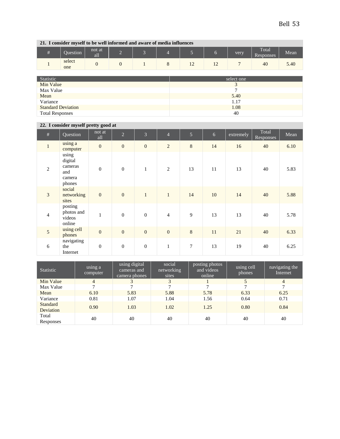**21. I consider myself to be well informed and aware of media influences**

| Question      | not at<br><b>1999</b><br>aп | - |  |                          |                | very | Total<br>Responses | Mean |
|---------------|-----------------------------|---|--|--------------------------|----------------|------|--------------------|------|
| select<br>one | ິ                           |   |  | $\sim$<br>$\overline{1}$ | $\overline{1}$ |      | 40                 | 5.40 |

| Statistic                 | select one |
|---------------------------|------------|
| Min Value                 |            |
| Max Value                 |            |
| Mean                      | 5.40       |
| Variance                  | 1.17       |
| <b>Standard Deviation</b> | 1.08       |
| <b>Total Responses</b>    | 40         |

### **22. I consider myself pretty good at**

| $\#$           | Question                                               | not at<br>all    | $\overline{2}$   | $\overline{3}$   | $\overline{4}$   | $\overline{5}$ | $6\,$ | extremely | Total<br><b>Responses</b> | Mean |
|----------------|--------------------------------------------------------|------------------|------------------|------------------|------------------|----------------|-------|-----------|---------------------------|------|
| $1\,$          | using a<br>computer                                    | $\mathbf{0}$     | $\boldsymbol{0}$ | $\boldsymbol{0}$ | 2                | $\,8\,$        | 14    | 16        | 40                        | 6.10 |
| $\overline{c}$ | using<br>digital<br>cameras<br>and<br>camera<br>phones | $\overline{0}$   | $\boldsymbol{0}$ | $\mathbf{1}$     | 2                | 13             | 11    | 13        | 40                        | 5.83 |
| 3              | social<br>networking<br>sites                          | $\boldsymbol{0}$ | $\boldsymbol{0}$ | $\mathbf{1}$     | $\mathbf{1}$     | 14             | 10    | 14        | 40                        | 5.88 |
| $\overline{4}$ | posting<br>photos and<br>videos<br>online              | $\mathbf{1}$     | $\mathbf{0}$     | $\boldsymbol{0}$ | $\overline{4}$   | 9              | 13    | 13        | 40                        | 5.78 |
| 5              | using cell<br>phones                                   | $\mathbf{0}$     | $\boldsymbol{0}$ | $\boldsymbol{0}$ | $\boldsymbol{0}$ | $\,8\,$        | 11    | 21        | 40                        | 6.33 |
| 6              | navigating<br>the<br>Internet                          | $\overline{0}$   | $\mathbf{0}$     | $\boldsymbol{0}$ | $\mathbf{1}$     | $\overline{7}$ | 13    | 19        | 40                        | 6.25 |

| <b>Statistic</b>      | using a<br>computer | using digital<br>cameras and<br>camera phones | social<br>networking<br>sites | posting photos<br>and videos<br>online | using cell<br>phones | navigating the<br>Internet |
|-----------------------|---------------------|-----------------------------------------------|-------------------------------|----------------------------------------|----------------------|----------------------------|
| Min Value             | $\overline{4}$      |                                               | 3                             |                                        | 5                    | $\overline{4}$             |
| Max Value             |                     |                                               |                               |                                        |                      |                            |
| Mean                  | 6.10                | 5.83                                          | 5.88                          | 5.78                                   | 6.33                 | 6.25                       |
| Variance              | 0.81                | 1.07                                          | 1.04                          | 1.56                                   | 0.64                 | 0.71                       |
| Standard<br>Deviation | 0.90                | 1.03                                          | 1.02                          | 1.25                                   | 0.80                 | 0.84                       |
| Total<br>Responses    | 40                  | 40                                            | 40                            | 40                                     | 40                   | 40                         |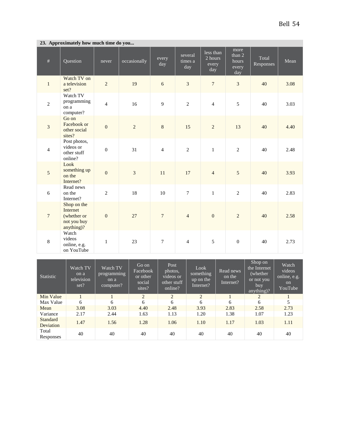| 23. Approximately how much time do you |                                                                     |                |                |                |                           |                                        |                                         |                    |      |
|----------------------------------------|---------------------------------------------------------------------|----------------|----------------|----------------|---------------------------|----------------------------------------|-----------------------------------------|--------------------|------|
| $\#$                                   | Question                                                            | never          | occasionally   | every<br>day   | several<br>times a<br>day | less than<br>$2$ hours<br>every<br>day | more<br>than 2<br>hours<br>every<br>day | Total<br>Responses | Mean |
| $\mathbf{1}$                           | Watch TV on<br>a television<br>set?                                 | $\overline{c}$ | 19             | $\overline{6}$ | $\overline{3}$            | $\overline{7}$                         | $\overline{3}$                          | 40                 | 3.08 |
| $\overline{2}$                         | Watch TV<br>programming<br>on a<br>computer?                        | $\overline{4}$ | 16             | 9              | $\overline{2}$            | $\overline{4}$                         | 5                                       | 40                 | 3.03 |
| $\overline{3}$                         | Go on<br>Facebook or<br>other social<br>sites?                      | $\overline{0}$ | $\overline{c}$ | $\,8\,$        | 15                        | $\overline{c}$                         | 13                                      | 40                 | 4.40 |
| $\overline{4}$                         | Post photos,<br>videos or<br>other stuff<br>online?                 | $\mathbf{0}$   | 31             | $\overline{4}$ | $\sqrt{2}$                | $\mathbf{1}$                           | $\overline{2}$                          | 40                 | 2.48 |
| 5                                      | Look<br>something up<br>on the<br>Internet?                         | $\overline{0}$ | 3              | 11             | 17                        | $\overline{4}$                         | 5                                       | 40                 | 3.93 |
| 6                                      | Read news<br>on the<br>Internet?                                    | $\overline{2}$ | 18             | 10             | $\boldsymbol{7}$          | $\mathbf{1}$                           | $\overline{2}$                          | 40                 | 2.83 |
| $7\phantom{.0}$                        | Shop on the<br>Internet<br>(whether or<br>not you buy<br>anything)? | $\mathbf{0}$   | 27             | $\overline{7}$ | $\overline{4}$            | $\boldsymbol{0}$                       | $\overline{2}$                          | 40                 | 2.58 |
| $\,8\,$                                | Watch<br>videos<br>online, e.g.<br>on YouTube                       | $\,1$          | 23             | $\overline{7}$ | $\overline{4}$            | 5                                      | $\boldsymbol{0}$                        | 40                 | 2.73 |

#### **23. Approximately how much time do you...**

| Statistic                    | Watch TV<br>on a<br>television<br>set? | Watch TV<br>programming<br>on a<br>computer? | Go on<br>Facebook<br>or other<br>social<br>sites? | Post<br>photos,<br>videos or<br>other stuff<br>online? | Look<br>something<br>up on the<br>Internet? | Read news<br>on the<br>Internet? | Shop on<br>the Internet<br>(whether)<br>or not you<br>buy<br>anything)? | Watch<br>videos<br>online, e.g.<br><sub>on</sub><br>YouTube |
|------------------------------|----------------------------------------|----------------------------------------------|---------------------------------------------------|--------------------------------------------------------|---------------------------------------------|----------------------------------|-------------------------------------------------------------------------|-------------------------------------------------------------|
| Min Value                    | 1                                      |                                              | $\overline{2}$                                    | $\overline{2}$                                         | $\overline{2}$                              | л.                               | 2                                                                       |                                                             |
| Max Value                    | 6                                      | 6                                            | 6                                                 | 6                                                      | 6                                           | 6                                | 6                                                                       | 5                                                           |
| Mean                         | 3.08                                   | 3.03                                         | 4.40                                              | 2.48                                                   | 3.93                                        | 2.83                             | 2.58                                                                    | 2.73                                                        |
| Variance                     | 2.17                                   | 2.44                                         | 1.63                                              | 1.13                                                   | 1.20                                        | 1.38                             | 1.07                                                                    | 1.23                                                        |
| <b>Standard</b><br>Deviation | 1.47                                   | 1.56                                         | 1.28                                              | 1.06                                                   | 1.10                                        | 1.17                             | 1.03                                                                    | 1.11                                                        |
| Total<br>Responses           | 40                                     | 40                                           | 40                                                | 40                                                     | 40                                          | 40                               | 40                                                                      | 40                                                          |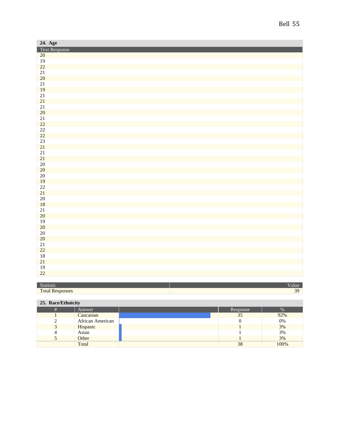| 24. Age                      |  |
|------------------------------|--|
| Text Response<br>20          |  |
|                              |  |
|                              |  |
| $\frac{19}{22}$              |  |
| 21                           |  |
| 20                           |  |
| 21                           |  |
| 19                           |  |
| 21                           |  |
| 21                           |  |
| 21                           |  |
| 20                           |  |
| $\frac{21}{22}$              |  |
|                              |  |
| $\frac{22}{22}$              |  |
|                              |  |
| 23                           |  |
| 21                           |  |
| 21                           |  |
| 21                           |  |
| $20\overline{)}$             |  |
| $\frac{20}{20}$              |  |
|                              |  |
| $\frac{19}{22}$              |  |
|                              |  |
| 21                           |  |
| $20\overline{)}$             |  |
| 18                           |  |
| 21                           |  |
| 20                           |  |
| <b>19</b>                    |  |
| 20                           |  |
| $20\overline{)}$             |  |
| 20<br>21                     |  |
| 22                           |  |
|                              |  |
| <b>18</b><br>21              |  |
|                              |  |
| <b>19</b><br>$\overline{22}$ |  |
|                              |  |

| <b>TO ANTISCO</b> | anne        |
|-------------------|-------------|
| Total.            | $\sim$<br>- |

### **25. Race/Ethnicity**

| Answer           | Response | %    |
|------------------|----------|------|
| Caucasian        | 35       | 92%  |
| African American |          | 0%   |
| Hispanic         |          | 3%   |
| Asian            |          | 3%   |
| Other            |          | 3%   |
| Total            | 38       | 100% |